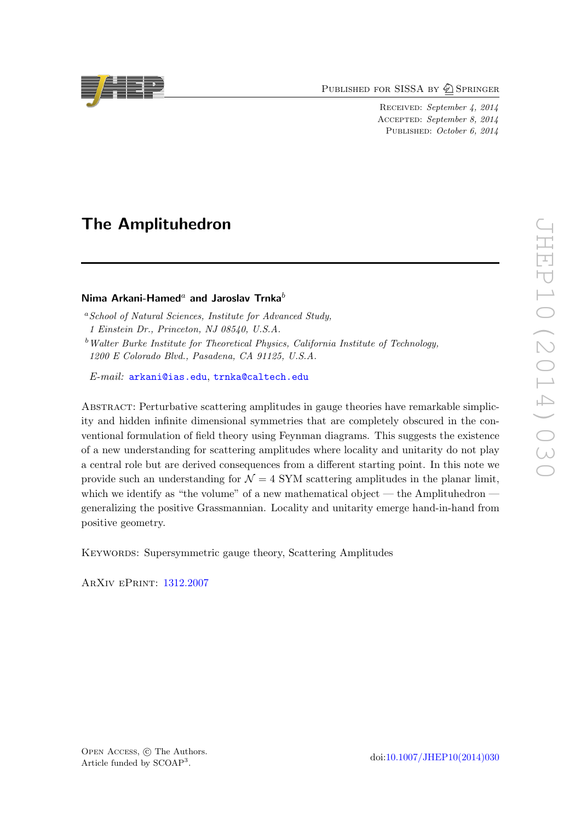PUBLISHED FOR SISSA BY 2 SPRINGER

Received: September 4, 2014 ACCEPTED: September 8, 2014 PUBLISHED: October 6, 2014

# The Amplituhedron

### Nima Arkani-Hamed<sup>a</sup> and Jaroslav Trnka<sup>b</sup>

E-mail: [arkani@ias.edu](mailto:arkani@ias.edu), [trnka@caltech.edu](mailto:trnka@caltech.edu)

Abstract: Perturbative scattering amplitudes in gauge theories have remarkable simplicity and hidden infinite dimensional symmetries that are completely obscured in the conventional formulation of field theory using Feynman diagrams. This suggests the existence of a new understanding for scattering amplitudes where locality and unitarity do not play a central role but are derived consequences from a different starting point. In this note we provide such an understanding for  $\mathcal{N} = 4$  SYM scattering amplitudes in the planar limit, which we identify as "the volume" of a new mathematical object — the Amplituhedron generalizing the positive Grassmannian. Locality and unitarity emerge hand-in-hand from positive geometry.

KEYWORDS: Supersymmetric gauge theory, Scattering Amplitudes

ArXiv ePrint: [1312.2007](http://arxiv.org/abs/1312.2007)



<sup>&</sup>lt;sup>a</sup>School of Natural Sciences, Institute for Advanced Study, 1 Einstein Dr., Princeton, NJ 08540, U.S.A.

 $b$  Walter Burke Institute for Theoretical Physics, California Institute of Technology, 1200 E Colorado Blvd., Pasadena, CA 91125, U.S.A.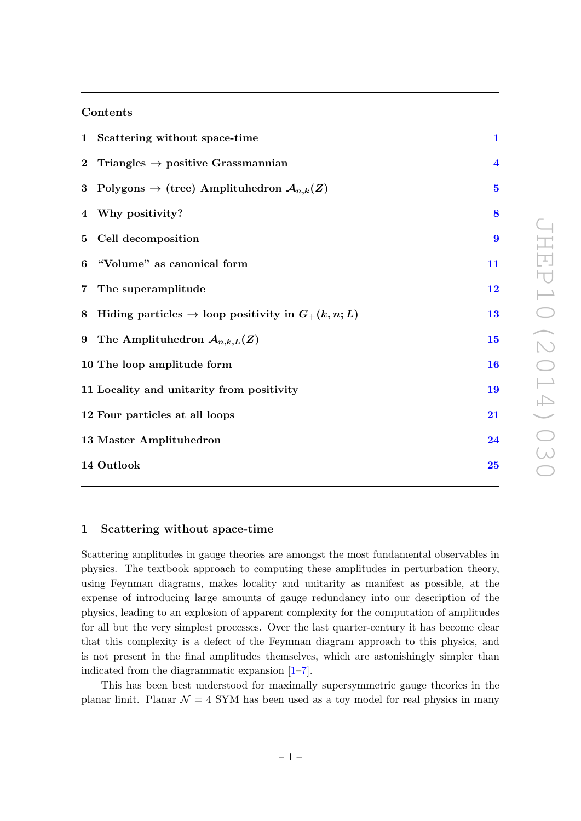### Contents

| 1 Scattering without space-time                                      | $\mathbf{1}$            |
|----------------------------------------------------------------------|-------------------------|
| 2 Triangles $\rightarrow$ positive Grassmannian                      | $\overline{\mathbf{4}}$ |
| 3 Polygons $\rightarrow$ (tree) Amplituhedron $\mathcal{A}_{n,k}(Z)$ | $\overline{5}$          |
| 4 Why positivity?                                                    | 8                       |
| 5 Cell decomposition                                                 | $\boldsymbol{9}$        |
| 6 "Volume" as canonical form                                         | 11                      |
| 7 The superamplitude                                                 | 12                      |
| 8 Hiding particles $\rightarrow$ loop positivity in $G_+(k,n;L)$     | 13                      |
| 9 The Amplituhedron $\mathcal{A}_{n,k,L}(Z)$                         | 15                      |
| 10 The loop amplitude form                                           | 16                      |
| 11 Locality and unitarity from positivity                            | 19                      |
| 12 Four particles at all loops                                       | 21                      |
| 13 Master Amplituhedron                                              | 24                      |
| 14 Outlook                                                           | 25                      |

### <span id="page-1-0"></span>1 Scattering without space-time

Scattering amplitudes in gauge theories are amongst the most fundamental observables in physics. The textbook approach to computing these amplitudes in perturbation theory, using Feynman diagrams, makes locality and unitarity as manifest as possible, at the expense of introducing large amounts of gauge redundancy into our description of the physics, leading to an explosion of apparent complexity for the computation of amplitudes for all but the very simplest processes. Over the last quarter-century it has become clear that this complexity is a defect of the Feynman diagram approach to this physics, and is not present in the final amplitudes themselves, which are astonishingly simpler than indicated from the diagrammatic expansion [\[1](#page-29-0)[–7\]](#page-29-1).

This has been best understood for maximally supersymmetric gauge theories in the planar limit. Planar  $\mathcal{N} = 4$  SYM has been used as a toy model for real physics in many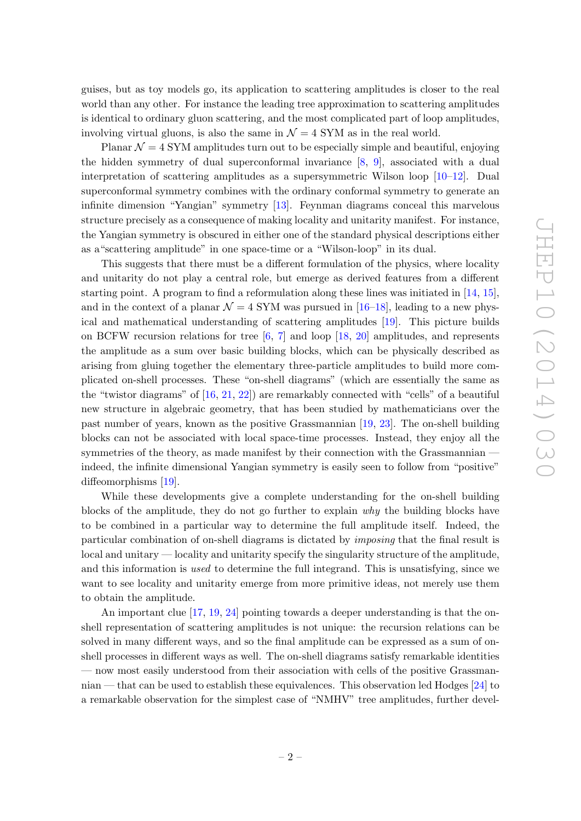guises, but as toy models go, its application to scattering amplitudes is closer to the real world than any other. For instance the leading tree approximation to scattering amplitudes is identical to ordinary gluon scattering, and the most complicated part of loop amplitudes, involving virtual gluons, is also the same in  $\mathcal{N}=4$  SYM as in the real world.

Planar  $\mathcal{N} = 4$  SYM amplitudes turn out to be especially simple and beautiful, enjoying the hidden symmetry of dual superconformal invariance [\[8,](#page-29-2) [9\]](#page-29-3), associated with a dual interpretation of scattering amplitudes as a supersymmetric Wilson loop  $[10-12]$  $[10-12]$ . Dual superconformal symmetry combines with the ordinary conformal symmetry to generate an infinite dimension "Yangian" symmetry [\[13\]](#page-30-1). Feynman diagrams conceal this marvelous structure precisely as a consequence of making locality and unitarity manifest. For instance, the Yangian symmetry is obscured in either one of the standard physical descriptions either as a"scattering amplitude" in one space-time or a "Wilson-loop" in its dual.

This suggests that there must be a different formulation of the physics, where locality and unitarity do not play a central role, but emerge as derived features from a different starting point. A program to find a reformulation along these lines was initiated in [\[14,](#page-30-2) [15\]](#page-30-3), and in the context of a planar  $\mathcal{N} = 4$  SYM was pursued in [\[16](#page-30-4)[–18\]](#page-30-5), leading to a new physical and mathematical understanding of scattering amplitudes [\[19\]](#page-30-6). This picture builds on BCFW recursion relations for tree [\[6,](#page-29-5) [7\]](#page-29-1) and loop [\[18,](#page-30-5) [20\]](#page-30-7) amplitudes, and represents the amplitude as a sum over basic building blocks, which can be physically described as arising from gluing together the elementary three-particle amplitudes to build more complicated on-shell processes. These "on-shell diagrams" (which are essentially the same as the "twistor diagrams" of [\[16,](#page-30-4) [21,](#page-30-8) [22\]](#page-30-9)) are remarkably connected with "cells" of a beautiful new structure in algebraic geometry, that has been studied by mathematicians over the past number of years, known as the positive Grassmannian [\[19,](#page-30-6) [23\]](#page-30-10). The on-shell building blocks can not be associated with local space-time processes. Instead, they enjoy all the symmetries of the theory, as made manifest by their connection with the Grassmannian – indeed, the infinite dimensional Yangian symmetry is easily seen to follow from "positive" diffeomorphisms [\[19\]](#page-30-6).

While these developments give a complete understanding for the on-shell building blocks of the amplitude, they do not go further to explain why the building blocks have to be combined in a particular way to determine the full amplitude itself. Indeed, the particular combination of on-shell diagrams is dictated by imposing that the final result is local and unitary — locality and unitarity specify the singularity structure of the amplitude, and this information is used to determine the full integrand. This is unsatisfying, since we want to see locality and unitarity emerge from more primitive ideas, not merely use them to obtain the amplitude.

An important clue [\[17,](#page-30-11) [19,](#page-30-6) [24\]](#page-30-12) pointing towards a deeper understanding is that the onshell representation of scattering amplitudes is not unique: the recursion relations can be solved in many different ways, and so the final amplitude can be expressed as a sum of onshell processes in different ways as well. The on-shell diagrams satisfy remarkable identities — now most easily understood from their association with cells of the positive Grassmannian — that can be used to establish these equivalences. This observation led Hodges [\[24\]](#page-30-12) to a remarkable observation for the simplest case of "NMHV" tree amplitudes, further devel-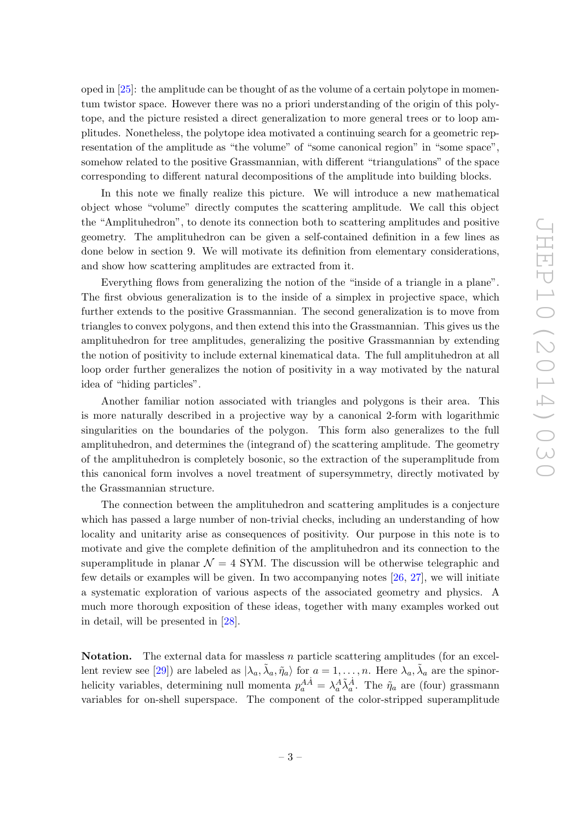oped in [\[25\]](#page-30-13): the amplitude can be thought of as the volume of a certain polytope in momentum twistor space. However there was no a priori understanding of the origin of this polytope, and the picture resisted a direct generalization to more general trees or to loop amplitudes. Nonetheless, the polytope idea motivated a continuing search for a geometric representation of the amplitude as "the volume" of "some canonical region" in "some space", somehow related to the positive Grassmannian, with different "triangulations" of the space corresponding to different natural decompositions of the amplitude into building blocks.

In this note we finally realize this picture. We will introduce a new mathematical object whose "volume" directly computes the scattering amplitude. We call this object the "Amplituhedron", to denote its connection both to scattering amplitudes and positive geometry. The amplituhedron can be given a self-contained definition in a few lines as done below in section 9. We will motivate its definition from elementary considerations, and show how scattering amplitudes are extracted from it.

Everything flows from generalizing the notion of the "inside of a triangle in a plane". The first obvious generalization is to the inside of a simplex in projective space, which further extends to the positive Grassmannian. The second generalization is to move from triangles to convex polygons, and then extend this into the Grassmannian. This gives us the amplituhedron for tree amplitudes, generalizing the positive Grassmannian by extending the notion of positivity to include external kinematical data. The full amplituhedron at all loop order further generalizes the notion of positivity in a way motivated by the natural idea of "hiding particles".

Another familiar notion associated with triangles and polygons is their area. This is more naturally described in a projective way by a canonical 2-form with logarithmic singularities on the boundaries of the polygon. This form also generalizes to the full amplituhedron, and determines the (integrand of) the scattering amplitude. The geometry of the amplituhedron is completely bosonic, so the extraction of the superamplitude from this canonical form involves a novel treatment of supersymmetry, directly motivated by the Grassmannian structure.

The connection between the amplituhedron and scattering amplitudes is a conjecture which has passed a large number of non-trivial checks, including an understanding of how locality and unitarity arise as consequences of positivity. Our purpose in this note is to motivate and give the complete definition of the amplituhedron and its connection to the superamplitude in planar  $\mathcal{N} = 4$  SYM. The discussion will be otherwise telegraphic and few details or examples will be given. In two accompanying notes [\[26,](#page-30-14) [27\]](#page-30-15), we will initiate a systematic exploration of various aspects of the associated geometry and physics. A much more thorough exposition of these ideas, together with many examples worked out in detail, will be presented in [\[28\]](#page-30-16).

Notation. The external data for massless  $n$  particle scattering amplitudes (for an excel-lent review see [\[29\]](#page-30-17)) are labeled as  $|\lambda_a, \tilde{\lambda}_a, \tilde{\eta}_a\rangle$  for  $a = 1, \ldots, n$ . Here  $\lambda_a, \tilde{\lambda}_a$  are the spinorhelicity variables, determining null momenta  $p_a^{A\dot{A}} = \lambda_a^A \tilde{\lambda}_a^{\dot{A}}$ . The  $\tilde{\eta}_a$  are (four) grassmann variables for on-shell superspace. The component of the color-stripped superamplitude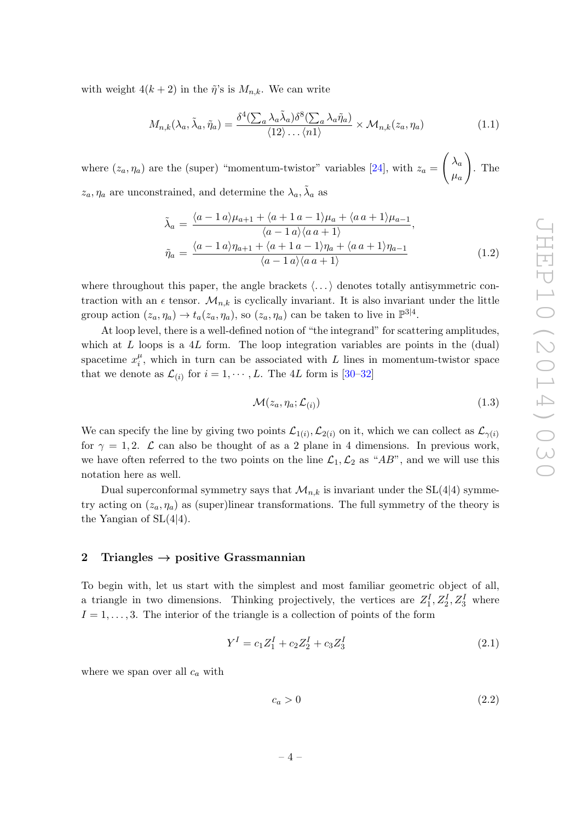with weight  $4(k+2)$  in the  $\tilde{\eta}$ 's is  $M_{n,k}$ . We can write

$$
M_{n,k}(\lambda_a, \tilde{\lambda}_a, \tilde{\eta}_a) = \frac{\delta^4(\sum_a \lambda_a \tilde{\lambda}_a) \delta^8(\sum_a \lambda_a \tilde{\eta}_a)}{\langle 12 \rangle \dots \langle n1 \rangle} \times \mathcal{M}_{n,k}(z_a, \eta_a)
$$
(1.1)

where  $(z_a, \eta_a)$  are the (super) "momentum-twistor" variables [\[24\]](#page-30-12), with  $z_a =$  $\bigwedge_{a}$  $\mu_a$  $\setminus$ . The  $z_a, \eta_a$  are unconstrained, and determine the  $\lambda_a, \tilde{\lambda}_a$  as

$$
\tilde{\lambda}_a = \frac{\langle a - 1 \, a \rangle \mu_{a+1} + \langle a + 1 \, a - 1 \rangle \mu_a + \langle a \, a + 1 \rangle \mu_{a-1}}{\langle a - 1 \, a \rangle \langle a \, a + 1 \rangle},
$$
\n
$$
\tilde{\eta}_a = \frac{\langle a - 1 \, a \rangle \eta_{a+1} + \langle a + 1 \, a - 1 \rangle \eta_a + \langle a \, a + 1 \rangle \eta_{a-1}}{\langle a - 1 \, a \rangle \langle a \, a + 1 \rangle} \tag{1.2}
$$

where throughout this paper, the angle brackets  $\langle \ldots \rangle$  denotes totally antisymmetric contraction with an  $\epsilon$  tensor.  $\mathcal{M}_{n,k}$  is cyclically invariant. It is also invariant under the little group action  $(z_a, \eta_a) \to t_a(z_a, \eta_a)$ , so  $(z_a, \eta_a)$  can be taken to live in  $\mathbb{P}^{3|4}$ .

At loop level, there is a well-defined notion of "the integrand" for scattering amplitudes, which at  $L$  loops is a  $4L$  form. The loop integration variables are points in the (dual) spacetime  $x_i^{\mu}$  $\mu_i^{\mu}$ , which in turn can be associated with L lines in momentum-twistor space that we denote as  $\mathcal{L}_{(i)}$  for  $i = 1, \dots, L$ . The 4L form is [\[30–](#page-30-18)[32\]](#page-30-19)

$$
\mathcal{M}(z_a, \eta_a; \mathcal{L}_{(i)}) \tag{1.3}
$$

We can specify the line by giving two points  $\mathcal{L}_{1(i)}$ ,  $\mathcal{L}_{2(i)}$  on it, which we can collect as  $\mathcal{L}_{\gamma(i)}$ for  $\gamma = 1, 2$ .  $\mathcal L$  can also be thought of as a 2 plane in 4 dimensions. In previous work, we have often referred to the two points on the line  $\mathcal{L}_1, \mathcal{L}_2$  as "AB", and we will use this notation here as well.

Dual superconformal symmetry says that  $\mathcal{M}_{n,k}$  is invariant under the SL(4|4) symmetry acting on  $(z_a, \eta_a)$  as (super)linear transformations. The full symmetry of the theory is the Yangian of SL(4|4).

### <span id="page-4-0"></span>2 Triangles  $\rightarrow$  positive Grassmannian

To begin with, let us start with the simplest and most familiar geometric object of all, a triangle in two dimensions. Thinking projectively, the vertices are  $Z_1^I, Z_2^I, Z_3^I$  where  $I = 1, \ldots, 3$ . The interior of the triangle is a collection of points of the form

$$
Y^I = c_1 Z_1^I + c_2 Z_2^I + c_3 Z_3^I \tag{2.1}
$$

where we span over all  $c_a$  with

$$
c_a > 0 \tag{2.2}
$$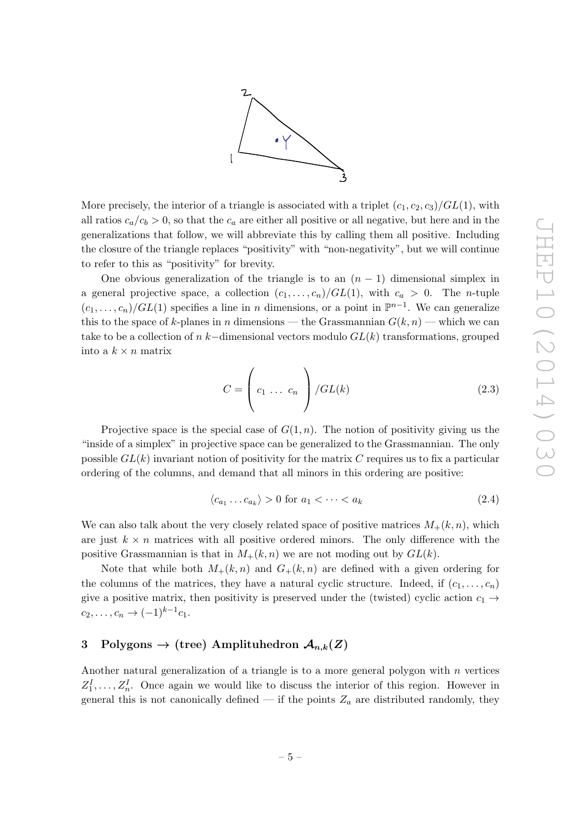

More precisely, the interior of a triangle is associated with a triplet  $(c_1, c_2, c_3)/GL(1)$ , with all ratios  $c_a/c_b > 0$ , so that the  $c_a$  are either all positive or all negative, but here and in the generalizations that follow, we will abbreviate this by calling them all positive. Including the closure of the triangle replaces "positivity" with "non-negativity", but we will continue to refer to this as "positivity" for brevity.

One obvious generalization of the triangle is to an  $(n - 1)$  dimensional simplex in a general projective space, a collection  $(c_1, \ldots, c_n)/GL(1)$ , with  $c_a > 0$ . The *n*-tuple  $(c_1, \ldots, c_n)/GL(1)$  specifies a line in n dimensions, or a point in  $\mathbb{P}^{n-1}$ . We can generalize this to the space of k-planes in n dimensions — the Grassmannian  $G(k, n)$  — which we can take to be a collection of n k–dimensional vectors modulo  $GL(k)$  transformations, grouped into a  $k \times n$  matrix

$$
C = \left(c_1 \dots c_n\right) / GL(k) \tag{2.3}
$$

Projective space is the special case of  $G(1, n)$ . The notion of positivity giving us the "inside of a simplex" in projective space can be generalized to the Grassmannian. The only possible  $GL(k)$  invariant notion of positivity for the matrix C requires us to fix a particular ordering of the columns, and demand that all minors in this ordering are positive:

$$
\langle c_{a_1} \dots c_{a_k} \rangle > 0 \text{ for } a_1 < \dots < a_k \tag{2.4}
$$

We can also talk about the very closely related space of positive matrices  $M_+(k,n)$ , which are just  $k \times n$  matrices with all positive ordered minors. The only difference with the positive Grassmannian is that in  $M_+(k, n)$  we are not moding out by  $GL(k)$ .

Note that while both  $M_+(k,n)$  and  $G_+(k,n)$  are defined with a given ordering for the columns of the matrices, they have a natural cyclic structure. Indeed, if  $(c_1, \ldots, c_n)$ give a positive matrix, then positivity is preserved under the (twisted) cyclic action  $c_1 \rightarrow$  $c_2, \ldots, c_n \to (-1)^{k-1}c_1.$ 

# <span id="page-5-0"></span>3 Polygons  $\rightarrow$  (tree) Amplituhedron  $\mathcal{A}_{n,k}(Z)$

Another natural generalization of a triangle is to a more general polygon with  $n$  vertices  $Z_1^I, \ldots, Z_n^I$ . Once again we would like to discuss the interior of this region. However in general this is not canonically defined — if the points  $Z_a$  are distributed randomly, they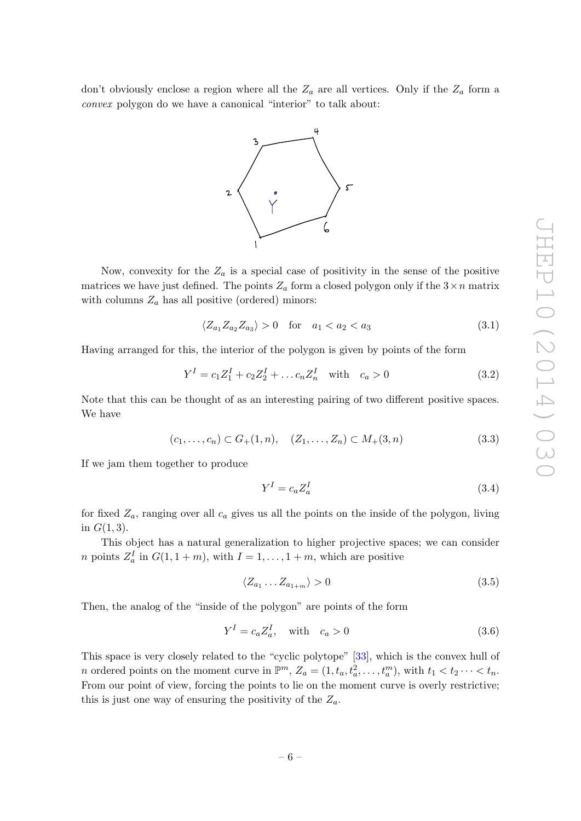don't obviously enclose a region where all the  $Z_a$  are all vertices. Only if the  $Z_a$  form a convex polygon do we have a canonical "interior" to talk about:



Now, convexity for the  $Z_a$  is a special case of positivity in the sense of the positive matrices we have just defined. The points  $Z_a$  form a closed polygon only if the  $3 \times n$  matrix with columns  $Z_a$  has all positive (ordered) minors:

$$
\langle Z_{a_1} Z_{a_2} Z_{a_3} \rangle > 0 \quad \text{for} \quad a_1 < a_2 < a_3 \tag{3.1}
$$

Having arranged for this, the interior of the polygon is given by points of the form

$$
Y^{I} = c_{1}Z_{1}^{I} + c_{2}Z_{2}^{I} + \dots + c_{n}Z_{n}^{I} \text{ with } c_{a} > 0
$$
\n(3.2)

Note that this can be thought of as an interesting pairing of two different positive spaces. We have

$$
(c_1, \ldots, c_n) \subset G_+(1, n), \quad (Z_1, \ldots, Z_n) \subset M_+(3, n) \tag{3.3}
$$

If we jam them together to produce

$$
Y^I = c_a Z_a^I \tag{3.4}
$$

for fixed  $Z_a$ , ranging over all  $c_a$  gives us all the points on the inside of the polygon, living in  $G(1, 3)$ .

This object has a natural generalization to higher projective spaces; we can consider *n* points  $Z_a^I$  in  $G(1, 1+m)$ , with  $I = 1, ..., 1+m$ , which are positive

$$
\langle Z_{a_1} \dots Z_{a_{1+m}} \rangle > 0 \tag{3.5}
$$

Then, the analog of the "inside of the polygon" are points of the form

$$
Y^I = c_a Z_a^I, \quad \text{with} \quad c_a > 0 \tag{3.6}
$$

This space is very closely related to the "cyclic polytope" [\[33\]](#page-31-0), which is the convex hull of *n* ordered points on the moment curve in  $\mathbb{P}^m$ ,  $Z_a = (1, t_a, t_a^2, \dots, t_a^m)$ , with  $t_1 < t_2 \dots < t_n$ . From our point of view, forcing the points to lie on the moment curve is overly restrictive; this is just one way of ensuring the positivity of the  $Z_a$ .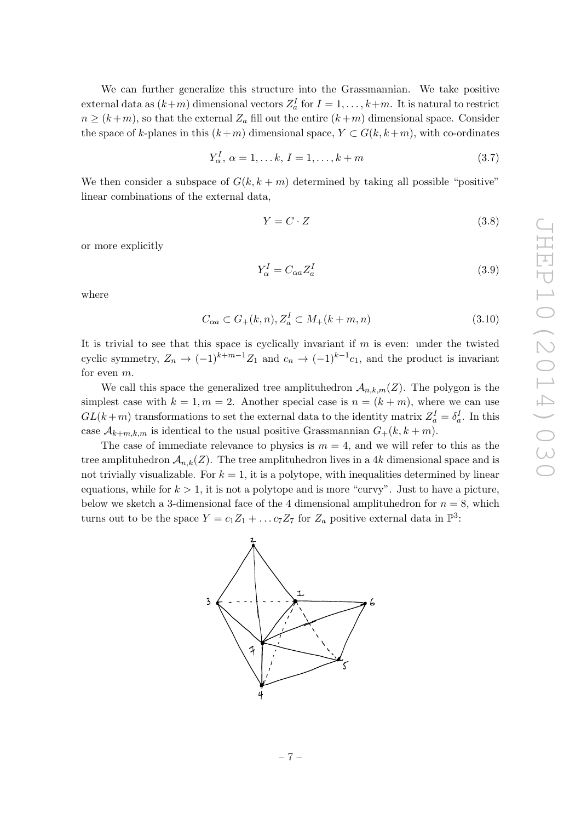We can further generalize this structure into the Grassmannian. We take positive external data as  $(k+m)$  dimensional vectors  $Z_a^I$  for  $I = 1, \ldots, k+m$ . It is natural to restrict  $n \ge (k+m)$ , so that the external  $Z_a$  fill out the entire  $(k+m)$  dimensional space. Consider the space of k-planes in this  $(k+m)$  dimensional space,  $Y \subset G(k, k+m)$ , with co-ordinates

$$
Y_{\alpha}^{I}, \alpha = 1, \dots k, I = 1, \dots, k + m \tag{3.7}
$$

We then consider a subspace of  $G(k, k+m)$  determined by taking all possible "positive" linear combinations of the external data,

$$
Y = C \cdot Z \tag{3.8}
$$

or more explicitly

$$
Y_{\alpha}^{I} = C_{\alpha a} Z_{a}^{I} \tag{3.9}
$$

where

$$
C_{\alpha a} \subset G_+(k, n), Z_a^I \subset M_+(k+m, n) \tag{3.10}
$$

It is trivial to see that this space is cyclically invariant if  $m$  is even: under the twisted cyclic symmetry,  $Z_n \to (-1)^{k+m-1}Z_1$  and  $c_n \to (-1)^{k-1}c_1$ , and the product is invariant for even m.

We call this space the generalized tree amplituhedron  $\mathcal{A}_{n,k,m}(Z)$ . The polygon is the simplest case with  $k = 1, m = 2$ . Another special case is  $n = (k + m)$ , where we can use  $GL(k+m)$  transformations to set the external data to the identity matrix  $Z_a^I = \delta_a^I$ . In this case  $\mathcal{A}_{k+m,k,m}$  is identical to the usual positive Grassmannian  $G_+(k, k+m)$ .

The case of immediate relevance to physics is  $m = 4$ , and we will refer to this as the tree amplituhedron  $\mathcal{A}_{n,k}(Z)$ . The tree amplituhedron lives in a 4k dimensional space and is not trivially visualizable. For  $k = 1$ , it is a polytope, with inequalities determined by linear equations, while for  $k > 1$ , it is not a polytope and is more "curvy". Just to have a picture, below we sketch a 3-dimensional face of the 4 dimensional amplituhedron for  $n = 8$ , which turns out to be the space  $Y = c_1 Z_1 + \dots + c_7 Z_7$  for  $Z_a$  positive external data in  $\mathbb{P}^3$ :

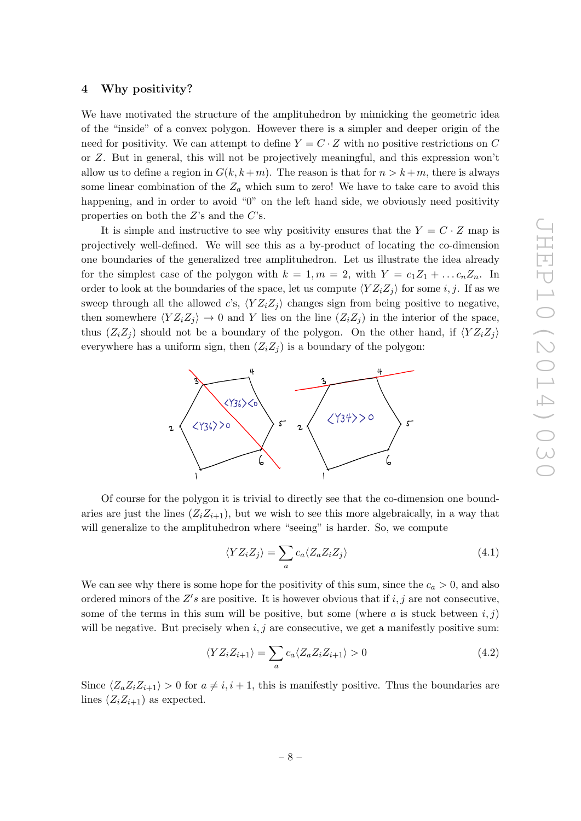### <span id="page-8-0"></span>4 Why positivity?

We have motivated the structure of the amplituhedron by mimicking the geometric idea of the "inside" of a convex polygon. However there is a simpler and deeper origin of the need for positivity. We can attempt to define  $Y = C \cdot Z$  with no positive restrictions on C or Z. But in general, this will not be projectively meaningful, and this expression won't allow us to define a region in  $G(k, k+m)$ . The reason is that for  $n > k+m$ , there is always some linear combination of the  $Z_a$  which sum to zero! We have to take care to avoid this happening, and in order to avoid "0" on the left hand side, we obviously need positivity properties on both the Z's and the C's.

It is simple and instructive to see why positivity ensures that the  $Y = C \cdot Z$  map is projectively well-defined. We will see this as a by-product of locating the co-dimension one boundaries of the generalized tree amplituhedron. Let us illustrate the idea already for the simplest case of the polygon with  $k = 1, m = 2$ , with  $Y = c_1Z_1 + ... c_nZ_n$ . In order to look at the boundaries of the space, let us compute  $\langle YZ_iZ_j \rangle$  for some i, j. If as we sweep through all the allowed c's,  $\langle YZ_iZ_j \rangle$  changes sign from being positive to negative, then somewhere  $\langle YZ_iZ_j \rangle \to 0$  and Y lies on the line  $(Z_iZ_j)$  in the interior of the space, thus  $(Z_iZ_j)$  should not be a boundary of the polygon. On the other hand, if  $\langle YZ_iZ_j \rangle$ everywhere has a uniform sign, then  $(Z_iZ_j)$  is a boundary of the polygon:



Of course for the polygon it is trivial to directly see that the co-dimension one boundaries are just the lines  $(Z_iZ_{i+1})$ , but we wish to see this more algebraically, in a way that will generalize to the amplituhedron where "seeing" is harder. So, we compute

$$
\langle YZ_i Z_j \rangle = \sum_a c_a \langle Z_a Z_i Z_j \rangle \tag{4.1}
$$

We can see why there is some hope for the positivity of this sum, since the  $c_a > 0$ , and also ordered minors of the  $Z's$  are positive. It is however obvious that if  $i, j$  are not consecutive, some of the terms in this sum will be positive, but some (where a is stuck between  $i, j$ ) will be negative. But precisely when  $i, j$  are consecutive, we get a manifestly positive sum:

$$
\langle YZ_i Z_{i+1} \rangle = \sum_a c_a \langle Z_a Z_i Z_{i+1} \rangle > 0 \tag{4.2}
$$

Since  $\langle Z_a Z_i Z_{i+1} \rangle > 0$  for  $a \neq i, i + 1$ , this is manifestly positive. Thus the boundaries are lines  $(Z_iZ_{i+1})$  as expected.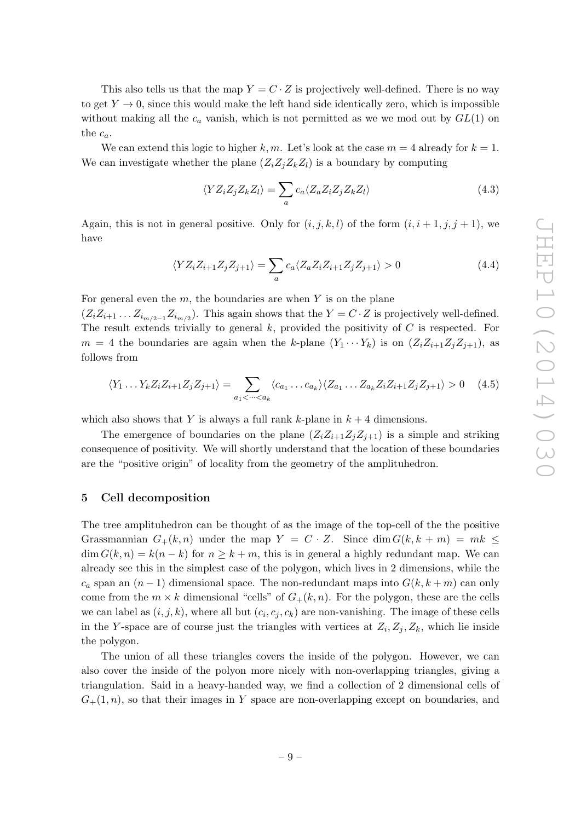This also tells us that the map  $Y = C \cdot Z$  is projectively well-defined. There is no way to get  $Y \to 0$ , since this would make the left hand side identically zero, which is impossible without making all the  $c_a$  vanish, which is not permitted as we we mod out by  $GL(1)$  on the  $c_a$ .

We can extend this logic to higher k, m. Let's look at the case  $m = 4$  already for  $k = 1$ . We can investigate whether the plane  $(Z_iZ_jZ_kZ_l)$  is a boundary by computing

$$
\langle YZ_i Z_j Z_k Z_l \rangle = \sum_a c_a \langle Z_a Z_i Z_j Z_k Z_l \rangle \tag{4.3}
$$

Again, this is not in general positive. Only for  $(i, j, k, l)$  of the form  $(i, i + 1, j, j + 1)$ , we have

$$
\langle YZ_iZ_{i+1}Z_jZ_{j+1} \rangle = \sum_a c_a \langle Z_a Z_i Z_{i+1} Z_j Z_{j+1} \rangle > 0 \tag{4.4}
$$

For general even the  $m$ , the boundaries are when  $Y$  is on the plane

 $(Z_iZ_{i+1}\dots Z_{i_{m/2}-1}Z_{i_{m/2}})$ . This again shows that the  $Y = C \cdot Z$  is projectively well-defined. The result extends trivially to general  $k$ , provided the positivity of  $C$  is respected. For  $m = 4$  the boundaries are again when the k-plane  $(Y_1 \cdots Y_k)$  is on  $(Z_i Z_{i+1} Z_j Z_{j+1})$ , as follows from

$$
\langle Y_1 \dots Y_k Z_i Z_{i+1} Z_j Z_{j+1} \rangle = \sum_{a_1 < \dots < a_k} \langle c_{a_1} \dots c_{a_k} \rangle \langle Z_{a_1} \dots Z_{a_k} Z_i Z_{i+1} Z_j Z_{j+1} \rangle > 0 \quad (4.5)
$$

which also shows that Y is always a full rank k-plane in  $k + 4$  dimensions.

The emergence of boundaries on the plane  $(Z_iZ_{i+1}Z_jZ_{j+1})$  is a simple and striking consequence of positivity. We will shortly understand that the location of these boundaries are the "positive origin" of locality from the geometry of the amplituhedron.

### <span id="page-9-0"></span>5 Cell decomposition

The tree amplituhedron can be thought of as the image of the top-cell of the the positive Grassmannian  $G_+(k,n)$  under the map  $Y = C \cdot Z$ . Since  $\dim G(k, k+m) = mk \leq$  $\dim G(k, n) = k(n - k)$  for  $n \geq k + m$ , this is in general a highly redundant map. We can already see this in the simplest case of the polygon, which lives in 2 dimensions, while the  $c_a$  span an  $(n-1)$  dimensional space. The non-redundant maps into  $G(k, k+m)$  can only come from the  $m \times k$  dimensional "cells" of  $G_{+}(k, n)$ . For the polygon, these are the cells we can label as  $(i, j, k)$ , where all but  $(c_i, c_j, c_k)$  are non-vanishing. The image of these cells in the Y-space are of course just the triangles with vertices at  $Z_i, Z_j, Z_k$ , which lie inside the polygon.

The union of all these triangles covers the inside of the polygon. However, we can also cover the inside of the polyon more nicely with non-overlapping triangles, giving a triangulation. Said in a heavy-handed way, we find a collection of 2 dimensional cells of  $G_{+}(1,n)$ , so that their images in Y space are non-overlapping except on boundaries, and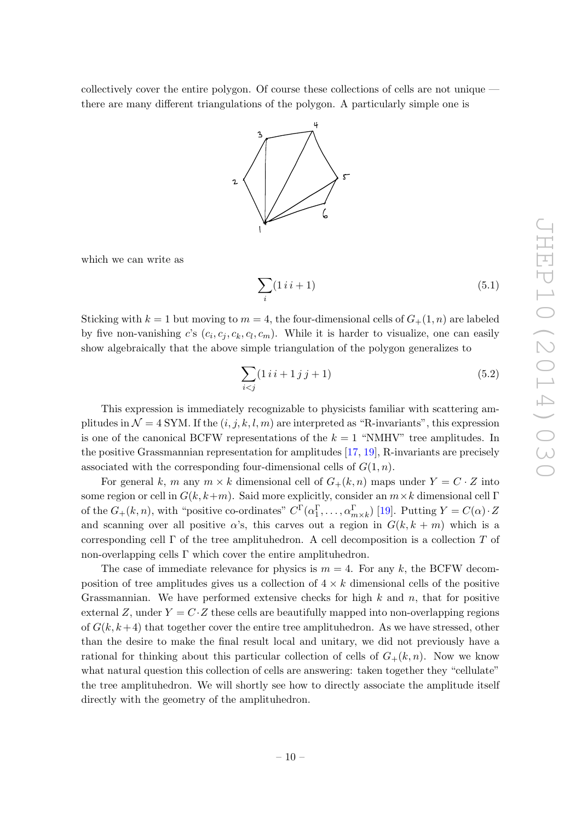collectively cover the entire polygon. Of course these collections of cells are not unique there are many different triangulations of the polygon. A particularly simple one is



which we can write as

$$
\sum_{i} (1 \, i \, i + 1) \tag{5.1}
$$

Sticking with  $k = 1$  but moving to  $m = 4$ , the four-dimensional cells of  $G_{+}(1, n)$  are labeled by five non-vanishing c's  $(c_i, c_j, c_k, c_l, c_m)$ . While it is harder to visualize, one can easily show algebraically that the above simple triangulation of the polygon generalizes to

$$
\sum_{i < j} (1 \, i \, i + 1 \, j \, j + 1) \tag{5.2}
$$

This expression is immediately recognizable to physicists familiar with scattering amplitudes in  $\mathcal{N} = 4$  SYM. If the  $(i, j, k, l, m)$  are interpreted as "R-invariants", this expression is one of the canonical BCFW representations of the  $k = 1$  "NMHV" tree amplitudes. In the positive Grassmannian representation for amplitudes [\[17,](#page-30-11) [19\]](#page-30-6), R-invariants are precisely associated with the corresponding four-dimensional cells of  $G(1, n)$ .

For general k, m any  $m \times k$  dimensional cell of  $G_{+}(k, n)$  maps under  $Y = C \cdot Z$  into some region or cell in  $G(k, k+m)$ . Said more explicitly, consider an  $m \times k$  dimensional cell Γ of the  $G_+(k,n)$ , with "positive co-ordinates"  $C^{\Gamma}(\alpha_1^{\Gamma}, \ldots, \alpha_{m \times k}^{\Gamma})$  [\[19\]](#page-30-6). Putting  $Y = C(\alpha) \cdot Z$ and scanning over all positive  $\alpha$ 's, this carves out a region in  $G(k, k + m)$  which is a corresponding cell  $\Gamma$  of the tree amplituhedron. A cell decomposition is a collection  $T$  of non-overlapping cells Γ which cover the entire amplituhedron.

The case of immediate relevance for physics is  $m = 4$ . For any k, the BCFW decomposition of tree amplitudes gives us a collection of  $4 \times k$  dimensional cells of the positive Grassmannian. We have performed extensive checks for high  $k$  and  $n$ , that for positive external Z, under  $Y = C \cdot Z$  these cells are beautifully mapped into non-overlapping regions of  $G(k, k+4)$  that together cover the entire tree amplituhedron. As we have stressed, other than the desire to make the final result local and unitary, we did not previously have a rational for thinking about this particular collection of cells of  $G_{+}(k, n)$ . Now we know what natural question this collection of cells are answering: taken together they "cellulate" the tree amplituhedron. We will shortly see how to directly associate the amplitude itself directly with the geometry of the amplituhedron.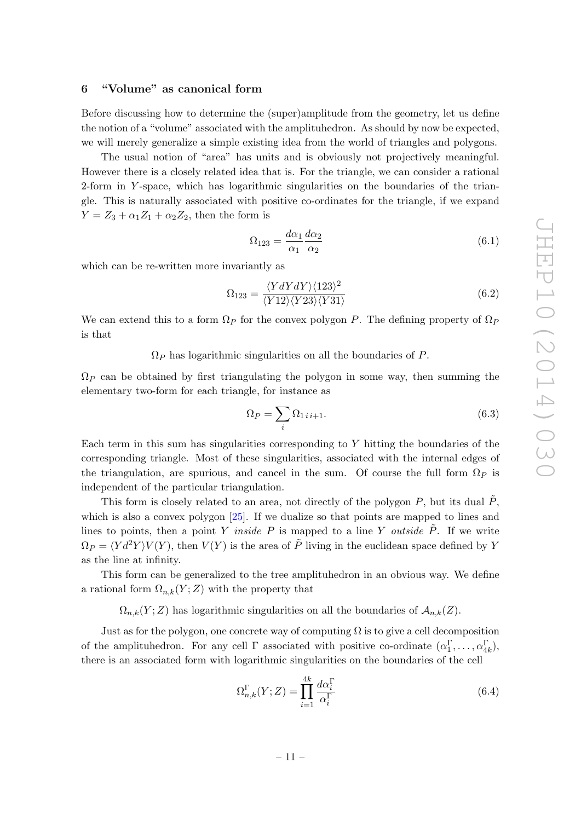# <span id="page-11-0"></span>6 "Volume" as canonical form

Before discussing how to determine the (super)amplitude from the geometry, let us define the notion of a "volume" associated with the amplituhedron. As should by now be expected, we will merely generalize a simple existing idea from the world of triangles and polygons.

The usual notion of "area" has units and is obviously not projectively meaningful. However there is a closely related idea that is. For the triangle, we can consider a rational 2-form in Y -space, which has logarithmic singularities on the boundaries of the triangle. This is naturally associated with positive co-ordinates for the triangle, if we expand  $Y = Z_3 + \alpha_1 Z_1 + \alpha_2 Z_2$ , then the form is

$$
\Omega_{123} = \frac{d\alpha_1}{\alpha_1} \frac{d\alpha_2}{\alpha_2} \tag{6.1}
$$

which can be re-written more invariantly as

$$
\Omega_{123} = \frac{\langle YdYdY \rangle \langle 123 \rangle^2}{\langle Y12 \rangle \langle Y23 \rangle \langle Y31 \rangle} \tag{6.2}
$$

We can extend this to a form  $\Omega_P$  for the convex polygon P. The defining property of  $\Omega_P$ is that

 $\Omega_P$  has logarithmic singularities on all the boundaries of P.

 $\Omega_P$  can be obtained by first triangulating the polygon in some way, then summing the elementary two-form for each triangle, for instance as

$$
\Omega_P = \sum_i \Omega_{1\,i\,i+1}.\tag{6.3}
$$

Each term in this sum has singularities corresponding to Y hitting the boundaries of the corresponding triangle. Most of these singularities, associated with the internal edges of the triangulation, are spurious, and cancel in the sum. Of course the full form  $\Omega_P$  is independent of the particular triangulation.

This form is closely related to an area, not directly of the polygon P, but its dual  $\ddot{P}$ , which is also a convex polygon [\[25\]](#page-30-13). If we dualize so that points are mapped to lines and lines to points, then a point Y *inside* P is mapped to a line Y *outside*  $\tilde{P}$ . If we write  $\Omega_P = \langle Y d^2 Y \rangle V(Y)$ , then  $V(Y)$  is the area of  $\tilde{P}$  living in the euclidean space defined by Y as the line at infinity.

This form can be generalized to the tree amplituhedron in an obvious way. We define a rational form  $\Omega_{n,k}(Y;Z)$  with the property that

 $\Omega_{n,k}(Y;Z)$  has logarithmic singularities on all the boundaries of  $\mathcal{A}_{n,k}(Z)$ .

Just as for the polygon, one concrete way of computing  $\Omega$  is to give a cell decomposition of the amplituhedron. For any cell  $\Gamma$  associated with positive co-ordinate  $(\alpha_1^{\Gamma}, \ldots, \alpha_{4k}^{\Gamma}),$ there is an associated form with logarithmic singularities on the boundaries of the cell

$$
\Omega_{n,k}^{\Gamma}(Y;Z) = \prod_{i=1}^{4k} \frac{d\alpha_i^{\Gamma}}{\alpha_i^{\Gamma}}
$$
\n(6.4)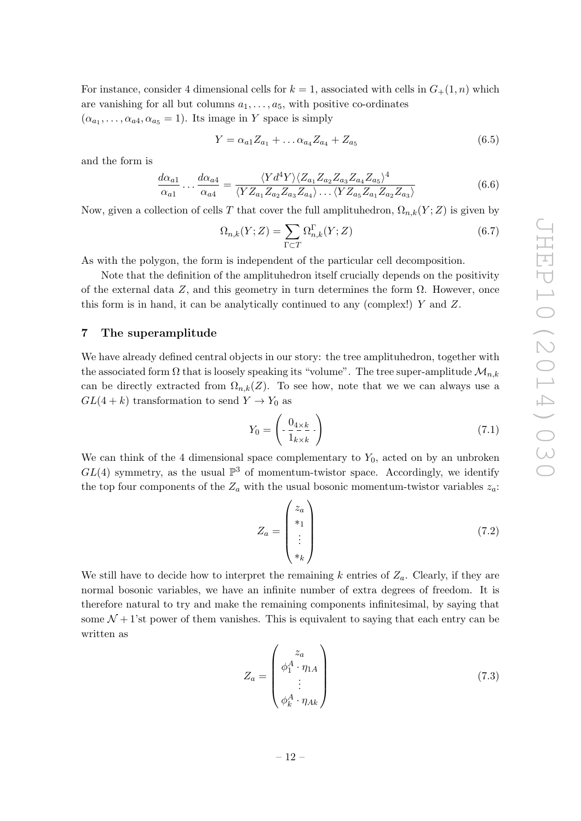For instance, consider 4 dimensional cells for  $k = 1$ , associated with cells in  $G_+(1, n)$  which are vanishing for all but columns  $a_1, \ldots, a_5$ , with positive co-ordinates  $(\alpha_{a_1}, \ldots, \alpha_{a4}, \alpha_{a_5} = 1)$ . Its image in Y space is simply

$$
Y = \alpha_{a1} Z_{a_1} + \dots \alpha_{a_4} Z_{a_4} + Z_{a_5} \tag{6.5}
$$

and the form is

$$
\frac{d\alpha_{a1}}{\alpha_{a1}} \dots \frac{d\alpha_{a4}}{\alpha_{a4}} = \frac{\langle Yd^4Y \rangle \langle Z_{a_1} Z_{a_2} Z_{a_3} Z_{a_4} Z_{a_5} \rangle^4}{\langle YZ_{a_1} Z_{a_2} Z_{a_3} Z_{a_4} \rangle \dots \langle YZ_{a_5} Z_{a_1} Z_{a_2} Z_{a_3} \rangle}
$$
(6.6)

Now, given a collection of cells T that cover the full amplituhedron,  $\Omega_{n,k}(Y;Z)$  is given by

$$
\Omega_{n,k}(Y;Z) = \sum_{\Gamma \subset T} \Omega_{n,k}^{\Gamma}(Y;Z)
$$
\n(6.7)

As with the polygon, the form is independent of the particular cell decomposition.

Note that the definition of the amplituhedron itself crucially depends on the positivity of the external data  $Z$ , and this geometry in turn determines the form  $\Omega$ . However, once this form is in hand, it can be analytically continued to any (complex!)  $Y$  and  $Z$ .

### <span id="page-12-0"></span>7 The superamplitude

We have already defined central objects in our story: the tree amplituhedron, together with the associated form  $\Omega$  that is loosely speaking its "volume". The tree super-amplitude  $\mathcal{M}_{n,k}$ can be directly extracted from  $\Omega_{n,k}(Z)$ . To see how, note that we we can always use a  $GL(4 + k)$  transformation to send  $Y \to Y_0$  as

$$
Y_0 = \left( \begin{array}{c} 0_{4 \times k} \\ \frac{1}{1_{k \times k}} \end{array} \right) \tag{7.1}
$$

We can think of the 4 dimensional space complementary to  $Y_0$ , acted on by an unbroken  $GL(4)$  symmetry, as the usual  $\mathbb{P}^3$  of momentum-twistor space. Accordingly, we identify the top four components of the  $Z_a$  with the usual bosonic momentum-twistor variables  $z_a$ .

$$
Z_a = \begin{pmatrix} z_a \\ *_1 \\ \vdots \\ *_k \end{pmatrix} \tag{7.2}
$$

We still have to decide how to interpret the remaining k entries of  $Z_a$ . Clearly, if they are normal bosonic variables, we have an infinite number of extra degrees of freedom. It is therefore natural to try and make the remaining components infinitesimal, by saying that some  $\mathcal{N}$  + 1'st power of them vanishes. This is equivalent to saying that each entry can be written as

$$
Z_a = \begin{pmatrix} z_a \\ \phi_1^{A} \cdot \eta_{1A} \\ \vdots \\ \phi_k^{A} \cdot \eta_{Ak} \end{pmatrix}
$$
 (7.3)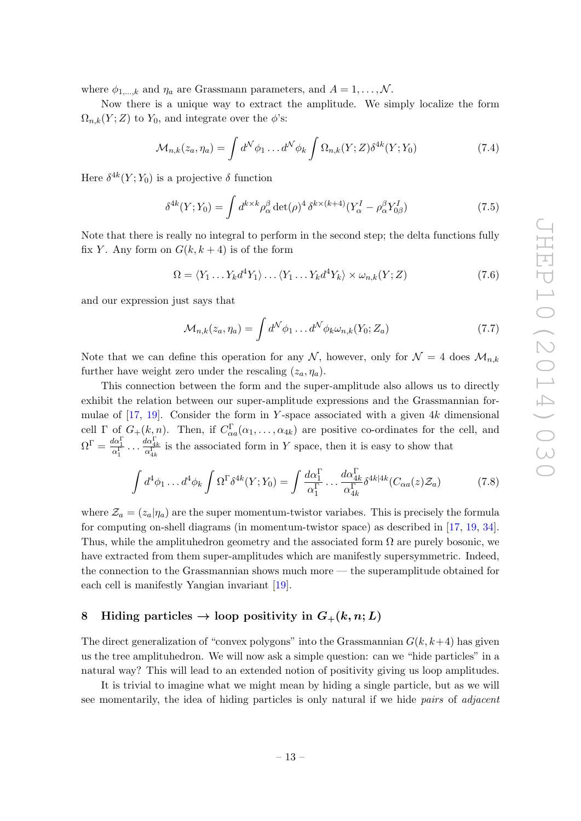where  $\phi_{1,\dots,k}$  and  $\eta_a$  are Grassmann parameters, and  $A = 1, \dots, \mathcal{N}$ .

Now there is a unique way to extract the amplitude. We simply localize the form  $\Omega_{n,k}(Y;Z)$  to  $Y_0$ , and integrate over the  $\phi$ 's:

<span id="page-13-1"></span>
$$
\mathcal{M}_{n,k}(z_a, \eta_a) = \int d^{\mathcal{N}} \phi_1 \dots d^{\mathcal{N}} \phi_k \int \Omega_{n,k}(Y; Z) \delta^{4k}(Y; Y_0)
$$
\n(7.4)

Here  $\delta^{4k}(Y; Y_0)$  is a projective  $\delta$  function

$$
\delta^{4k}(Y;Y_0) = \int d^{k \times k} \rho_\alpha^\beta \det(\rho)^4 \delta^{k \times (k+4)} (Y_\alpha^I - \rho_\alpha^\beta Y_{0\beta}^I)
$$
\n(7.5)

Note that there is really no integral to perform in the second step; the delta functions fully fix Y. Any form on  $G(k, k+4)$  is of the form

$$
\Omega = \langle Y_1 \dots Y_k d^4 Y_1 \rangle \dots \langle Y_1 \dots Y_k d^4 Y_k \rangle \times \omega_{n,k}(Y;Z) \tag{7.6}
$$

and our expression just says that

$$
\mathcal{M}_{n,k}(z_a, \eta_a) = \int d^{\mathcal{N}} \phi_1 \dots d^{\mathcal{N}} \phi_k \omega_{n,k}(Y_0; Z_a)
$$
\n(7.7)

Note that we can define this operation for any N, however, only for  $\mathcal{N} = 4$  does  $\mathcal{M}_{n,k}$ further have weight zero under the rescaling  $(z_a, \eta_a)$ .

This connection between the form and the super-amplitude also allows us to directly exhibit the relation between our super-amplitude expressions and the Grassmannian formulae of  $[17, 19]$  $[17, 19]$ . Consider the form in Y-space associated with a given 4k dimensional cell  $\Gamma$  of  $G_{+}(k, n)$ . Then, if  $C_{\alpha a}^{\Gamma}(\alpha_1, \ldots, \alpha_{4k})$  are positive co-ordinates for the cell, and  $\Omega^{\Gamma} = \frac{d\alpha_1^{\Gamma}}{\alpha_1^{\Gamma}} \dots \frac{d\alpha_{4k}^{\Gamma}}{\alpha_{4k}^{\Gamma}}$  is the associated form in Y space, then it is easy to show that

$$
\int d^4 \phi_1 \dots d^4 \phi_k \int \Omega^{\Gamma} \delta^{4k}(Y; Y_0) = \int \frac{d\alpha_1^{\Gamma}}{\alpha_1^{\Gamma}} \dots \frac{d\alpha_{4k}^{\Gamma}}{\alpha_{4k}^{\Gamma}} \delta^{4k|4k}(C_{\alpha a}(z) \mathcal{Z}_a)
$$
(7.8)

where  $\mathcal{Z}_a = (z_a | \eta_a)$  are the super momentum-twistor variabes. This is precisely the formula for computing on-shell diagrams (in momentum-twistor space) as described in [\[17,](#page-30-11) [19,](#page-30-6) [34\]](#page-31-1). Thus, while the amplituhedron geometry and the associated form  $\Omega$  are purely bosonic, we have extracted from them super-amplitudes which are manifestly supersymmetric. Indeed, the connection to the Grassmannian shows much more — the superamplitude obtained for each cell is manifestly Yangian invariant [\[19\]](#page-30-6).

# <span id="page-13-0"></span>8 Hiding particles  $\rightarrow$  loop positivity in  $G_+(k, n; L)$

The direct generalization of "convex polygons" into the Grassmannian  $G(k, k+4)$  has given us the tree amplituhedron. We will now ask a simple question: can we "hide particles" in a natural way? This will lead to an extended notion of positivity giving us loop amplitudes.

It is trivial to imagine what we might mean by hiding a single particle, but as we will see momentarily, the idea of hiding particles is only natural if we hide pairs of adjacent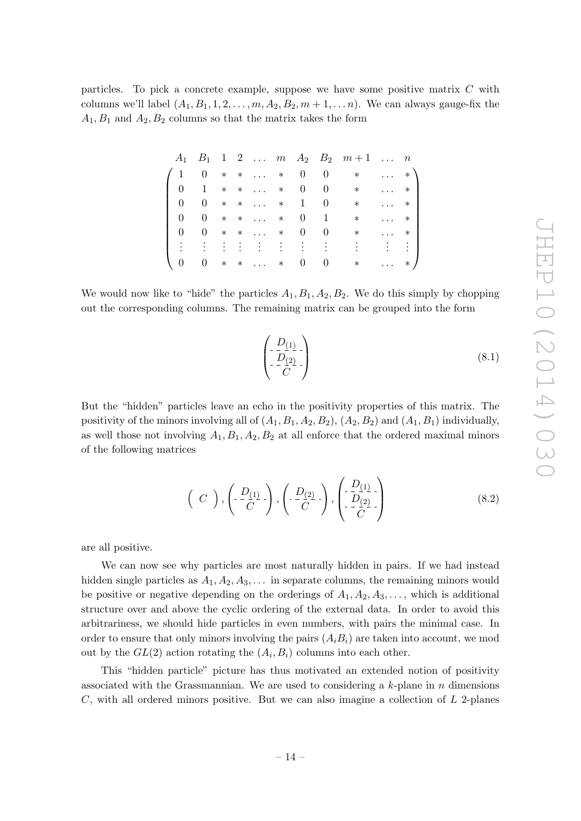particles. To pick a concrete example, suppose we have some positive matrix  $C$  with columns we'll label  $(A_1, B_1, 1, 2, \ldots, m, A_2, B_2, m+1, \ldots, n)$ . We can always gauge-fix the  $A_1, B_1$  and  $A_2, B_2$  columns so that the matrix takes the form

|                                         |                 |        |        |          |        |                  | $A_1$ $B_1$ 1 2 $m$ $A_2$ $B_2$ $m+1$ $n$ |         |       |
|-----------------------------------------|-----------------|--------|--------|----------|--------|------------------|-------------------------------------------|---------|-------|
| 1                                       |                 |        |        |          |        |                  | $0 * *  * 0 0 *  *$                       |         |       |
| $0 \quad 1 \quad * \quad * \quad \dots$ |                 |        |        |          |        |                  | $\ast$ 0 0 $\ast$                         |         | $*$   |
| $\vert 0 \vert$                         | $\overline{0}$  |        |        |          |        | * *  * 1 0       |                                           | $*$ $*$ |       |
| $\theta$                                | $\overline{0}$  |        | $*$ *  | $\cdots$ | $\ast$ | $0 \quad 1$      | $*$ $*$                                   |         | $*$   |
| $\overline{0}$                          | $\vert 0 \vert$ | $\ast$ | $\ast$ |          |        | $\ldots$ $*$ 0 0 |                                           | $*$     | $*$   |
|                                         |                 |        |        |          |        |                  |                                           |         |       |
|                                         | $\overline{0}$  |        |        |          |        | $*$ *  * 0 0     |                                           | $*$     | $*$ / |

We would now like to "hide" the particles  $A_1, B_1, A_2, B_2$ . We do this simply by chopping out the corresponding columns. The remaining matrix can be grouped into the form

$$
\begin{pmatrix} D_{11} \\ D_{22} \\ C \end{pmatrix} \tag{8.1}
$$

But the "hidden" particles leave an echo in the positivity properties of this matrix. The positivity of the minors involving all of  $(A_1, B_1, A_2, B_2)$ ,  $(A_2, B_2)$  and  $(A_1, B_1)$  individually, as well those not involving  $A_1, B_1, A_2, B_2$  at all enforce that the ordered maximal minors of the following matrices

$$
\left(\begin{array}{c} C \end{array}\right), \left(\begin{array}{c} D_{(1)} \\ C \end{array}\right), \left(\begin{array}{c} D_{(2)} \\ C \end{array}\right), \left(\begin{array}{c} D_{(1)} \\ \overline{C} \end{array}\right) \right), \left(\begin{array}{c} D_{(2)} \\ \overline{C} \end{array}\right) \tag{8.2}
$$

are all positive.

We can now see why particles are most naturally hidden in pairs. If we had instead hidden single particles as  $A_1, A_2, A_3, \ldots$  in separate columns, the remaining minors would be positive or negative depending on the orderings of  $A_1, A_2, A_3, \ldots$ , which is additional structure over and above the cyclic ordering of the external data. In order to avoid this arbitrariness, we should hide particles in even numbers, with pairs the minimal case. In order to ensure that only minors involving the pairs  $(A_i B_i)$  are taken into account, we mod out by the  $GL(2)$  action rotating the  $(A_i, B_i)$  columns into each other.

This "hidden particle" picture has thus motivated an extended notion of positivity associated with the Grassmannian. We are used to considering a  $k$ -plane in n dimensions  $C$ , with all ordered minors positive. But we can also imagine a collection of  $L$  2-planes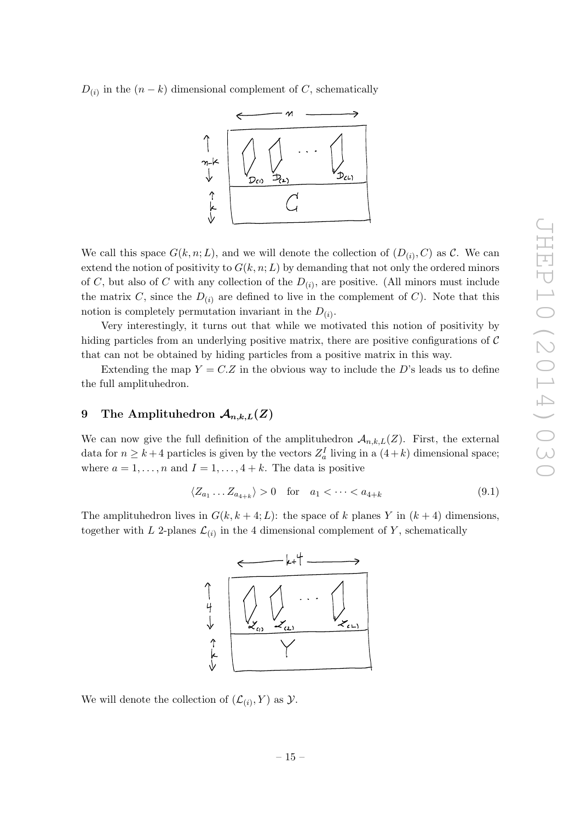$D_{(i)}$  in the  $(n - k)$  dimensional complement of C, schematically



We call this space  $G(k, n; L)$ , and we will denote the collection of  $(D_{(i)}, C)$  as C. We can extend the notion of positivity to  $G(k, n; L)$  by demanding that not only the ordered minors of C, but also of C with any collection of the  $D_{(i)}$ , are positive. (All minors must include the matrix C, since the  $D_{(i)}$  are defined to live in the complement of C). Note that this notion is completely permutation invariant in the  $D_{(i)}$ .

Very interestingly, it turns out that while we motivated this notion of positivity by hiding particles from an underlying positive matrix, there are positive configurations of  $\mathcal C$ that can not be obtained by hiding particles from a positive matrix in this way.

Extending the map  $Y = C.Z$  in the obvious way to include the D's leads us to define the full amplituhedron.

# <span id="page-15-0"></span>9 The Amplituhedron  $\mathcal{A}_{n,k,L}(Z)$

We can now give the full definition of the amplituhedron  $\mathcal{A}_{n,k,L}(Z)$ . First, the external data for  $n \geq k+4$  particles is given by the vectors  $Z_a^I$  living in a  $(4+k)$  dimensional space; where  $a = 1, \ldots, n$  and  $I = 1, \ldots, 4 + k$ . The data is positive

$$
\langle Z_{a_1} \dots Z_{a_{4+k}} \rangle > 0 \quad \text{for} \quad a_1 < \dots < a_{4+k} \tag{9.1}
$$

The amplituhedron lives in  $G(k, k+4; L)$ : the space of k planes Y in  $(k+4)$  dimensions, together with L 2-planes  $\mathcal{L}_{(i)}$  in the 4 dimensional complement of Y, schematically



We will denote the collection of  $(\mathcal{L}_{(i)}, Y)$  as  $\mathcal{Y}$ .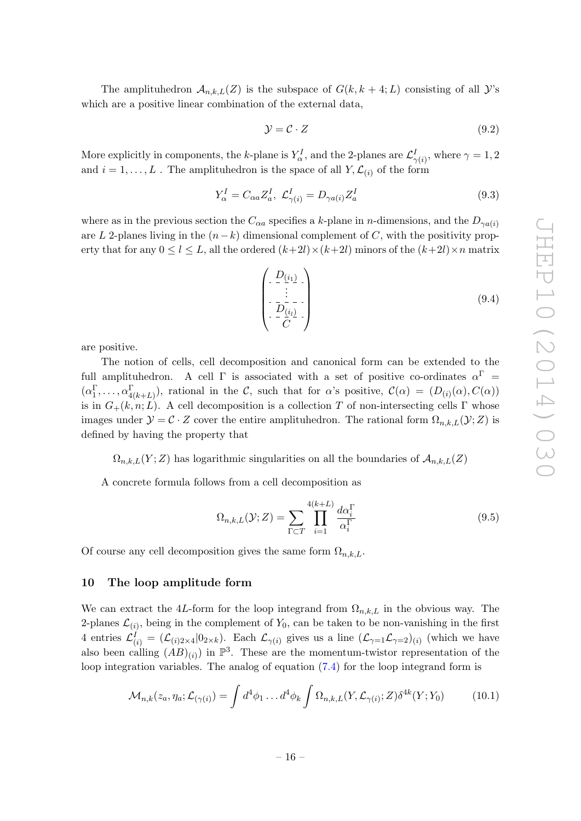The amplituhedron  $\mathcal{A}_{n,k,L}(Z)$  is the subspace of  $G(k, k+4; L)$  consisting of all  $\mathcal{Y}$ 's which are a positive linear combination of the external data,

$$
\mathcal{Y} = \mathcal{C} \cdot Z \tag{9.2}
$$

More explicitly in components, the k-plane is  $Y^I_\alpha$ , and the 2-planes are  $\mathcal{L}^I_{\gamma(i)}$ , where  $\gamma = 1, 2$ and  $i = 1, \ldots, L$ . The amplituhedron is the space of all  $Y, \mathcal{L}_{(i)}$  of the form

$$
Y_{\alpha}^{I} = C_{\alpha a} Z_{a}^{I}, \mathcal{L}_{\gamma(i)}^{I} = D_{\gamma a(i)} Z_{a}^{I}
$$
\n(9.3)

where as in the previous section the  $C_{\alpha a}$  specifies a k-plane in n-dimensions, and the  $D_{\gamma a(i)}$ are L 2-planes living in the  $(n-k)$  dimensional complement of C, with the positivity property that for any  $0 \leq l \leq L$ , all the ordered  $(k+2l)\times(k+2l)$  minors of the  $(k+2l)\times n$  matrix

$$
\begin{pmatrix}\nD_{(i_1)} \\
\vdots \\
D_{(i_l)} \\
\vdots\n\end{pmatrix}
$$
\n(9.4)

are positive.

The notion of cells, cell decomposition and canonical form can be extended to the full amplituhedron. A cell  $\Gamma$  is associated with a set of positive co-ordinates  $\alpha^{\Gamma}$  =  $(\alpha_1^{\Gamma}, \ldots, \alpha_{4(k+L)}^{\Gamma})$ , rational in the C, such that for  $\alpha$ 's positive,  $\mathcal{C}(\alpha) = (D_{(i)}(\alpha), C(\alpha))$ is in  $G_+(k,n;L)$ . A cell decomposition is a collection T of non-intersecting cells Γ whose images under  $\mathcal{Y} = \mathcal{C} \cdot Z$  cover the entire amplituhedron. The rational form  $\Omega_{n,k,L}(\mathcal{Y};Z)$  is defined by having the property that

 $\Omega_{n,k,L}(Y;Z)$  has logarithmic singularities on all the boundaries of  $\mathcal{A}_{n,k,L}(Z)$ 

A concrete formula follows from a cell decomposition as

$$
\Omega_{n,k,L}(\mathcal{Y};Z) = \sum_{\Gamma \subset T} \prod_{i=1}^{4(k+L)} \frac{d\alpha_i^{\Gamma}}{\alpha_i^{\Gamma}}
$$
\n(9.5)

Of course any cell decomposition gives the same form  $\Omega_{n,k,L}$ .

### <span id="page-16-0"></span>10 The loop amplitude form

We can extract the 4L-form for the loop integrand from  $\Omega_{n,k,L}$  in the obvious way. The 2-planes  $\mathcal{L}_{(i)}$ , being in the complement of  $Y_0$ , can be taken to be non-vanishing in the first 4 entries  $\mathcal{L}_{(i)}^I = (\mathcal{L}_{(i)2\times 4}|0_{2\times k})$ . Each  $\mathcal{L}_{\gamma(i)}$  gives us a line  $(\mathcal{L}_{\gamma=1}\mathcal{L}_{\gamma=2})_{(i)}$  (which we have also been calling  $(AB)_{(i)}$  in  $\mathbb{P}^3$ . These are the momentum-twistor representation of the loop integration variables. The analog of equation [\(7.4\)](#page-13-1) for the loop integrand form is

$$
\mathcal{M}_{n,k}(z_a, \eta_a; \mathcal{L}_{(\gamma(i)}) = \int d^4 \phi_1 \dots d^4 \phi_k \int \Omega_{n,k,L}(Y, \mathcal{L}_{\gamma(i)}; Z) \delta^{4k}(Y; Y_0)
$$
(10.1)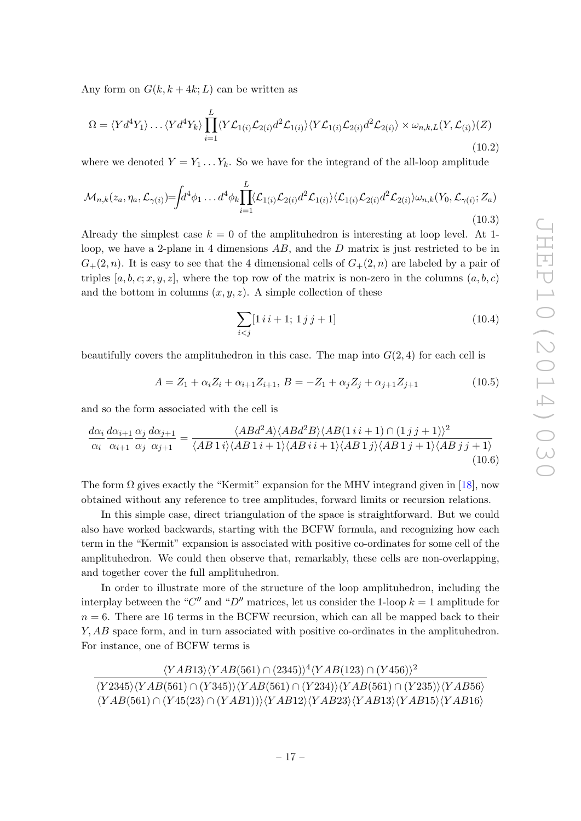Any form on  $G(k, k + 4k; L)$  can be written as

$$
\Omega = \langle Yd^4Y_1 \rangle \dots \langle Yd^4Y_k \rangle \prod_{i=1}^L \langle Y\mathcal{L}_{1(i)}\mathcal{L}_{2(i)}d^2\mathcal{L}_{1(i)} \rangle \langle Y\mathcal{L}_{1(i)}\mathcal{L}_{2(i)}d^2\mathcal{L}_{2(i)} \rangle \times \omega_{n,k,L}(Y,\mathcal{L}_{(i)})(Z)
$$
\n(10.2)

where we denoted  $Y = Y_1 \ldots Y_k$ . So we have for the integrand of the all-loop amplitude

$$
\mathcal{M}_{n,k}(z_a, \eta_a, \mathcal{L}_{\gamma(i)}) = \int d^4 \phi_1 \dots d^4 \phi_k \prod_{i=1}^L \langle \mathcal{L}_{1(i)} \mathcal{L}_{2(i)} d^2 \mathcal{L}_{1(i)} \rangle \langle \mathcal{L}_{1(i)} \mathcal{L}_{2(i)} d^2 \mathcal{L}_{2(i)} \rangle \omega_{n,k}(Y_0, \mathcal{L}_{\gamma(i)}; Z_a)
$$
\n(10.3)

Already the simplest case  $k = 0$  of the amplituhedron is interesting at loop level. At 1loop, we have a 2-plane in 4 dimensions AB, and the D matrix is just restricted to be in  $G_{+}(2, n)$ . It is easy to see that the 4 dimensional cells of  $G_{+}(2, n)$  are labeled by a pair of triples  $[a, b, c; x, y, z]$ , where the top row of the matrix is non-zero in the columns  $(a, b, c)$ and the bottom in columns  $(x, y, z)$ . A simple collection of these

$$
\sum_{i < j} [1 \, i \, i + 1; \, 1 \, j \, j + 1] \tag{10.4}
$$

beautifully covers the amplituhedron in this case. The map into  $G(2,4)$  for each cell is

$$
A = Z_1 + \alpha_i Z_i + \alpha_{i+1} Z_{i+1}, B = -Z_1 + \alpha_j Z_j + \alpha_{j+1} Z_{j+1}
$$
\n(10.5)

and so the form associated with the cell is

$$
\frac{d\alpha_i}{\alpha_i} \frac{d\alpha_{i+1}}{\alpha_i} \frac{\alpha_j}{\alpha_{j+1}} \frac{d\alpha_{j+1}}{\alpha_j} = \frac{\langle ABd^2A \rangle \langle ABd^2B \rangle \langle AB(1\,ii+1) \cap (1\,jj+1) \rangle^2}{\langle AB\,1\,i \rangle \langle AB\,1\,i+1 \rangle \langle AB\,i\,i+1 \rangle \langle AB\,1\,j \rangle \langle AB\,1\,j+1 \rangle \langle AB\,j\,j+1 \rangle}
$$
\n(10.6)

The form  $\Omega$  gives exactly the "Kermit" expansion for the MHV integrand given in [\[18\]](#page-30-5), now obtained without any reference to tree amplitudes, forward limits or recursion relations.

In this simple case, direct triangulation of the space is straightforward. But we could also have worked backwards, starting with the BCFW formula, and recognizing how each term in the "Kermit" expansion is associated with positive co-ordinates for some cell of the amplituhedron. We could then observe that, remarkably, these cells are non-overlapping, and together cover the full amplituhedron.

In order to illustrate more of the structure of the loop amplituhedron, including the interplay between the "C'' and "D'' matrices, let us consider the 1-loop  $k = 1$  amplitude for  $n = 6$ . There are 16 terms in the BCFW recursion, which can all be mapped back to their Y, AB space form, and in turn associated with positive co-ordinates in the amplituhedron. For instance, one of BCFW terms is

 $\langle YAB13\rangle\langle YAB(561)\cap(2345)\rangle^4\langle YAB(123)\cap(Y456)\rangle^2$  $\langle Y2345\rangle\langle YAB(561)\cap (Y345)\rangle\langle YAB(561)\cap (Y234)\rangle\langle YAB(561)\cap (Y235)\rangle\langle YAB56\rangle$  $\langle YAB(561) \cap (Y45(23) \cap (YAB1)) \rangle \langle YAB12 \rangle \langle YAB23 \rangle \langle YAB13 \rangle \langle YAB15 \rangle \langle YAB16 \rangle$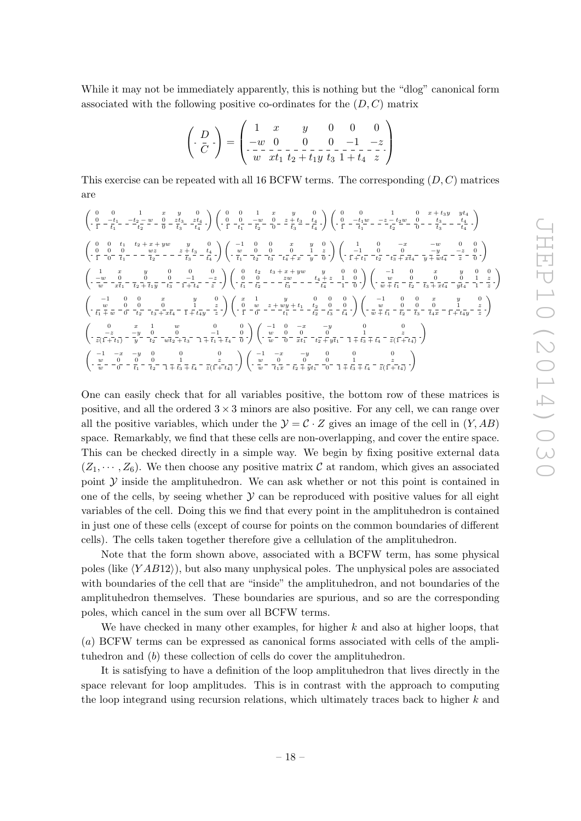While it may not be immediately apparently, this is nothing but the "dlog" canonical form associated with the following positive co-ordinates for the  $(D, C)$  matrix

$$
\left(\begin{array}{c} D\\ \bar{C} \end{array}\right)=\left(\begin{array}{cccc} 1 & x & y & 0 & 0 & 0 \\ -w & 0 & 0 & 0 & -1 & -z \\ -\frac{v}{w} & xt_1 & t_2+t_1y & t_3 & 1+t_4 & z \end{array}\right)
$$

This exercise can be repeated with all 16 BCFW terms. The corresponding  $(D, C)$  matrices are

$$
\left(\begin{matrix}0&0&1&x&y&0\\0&-\frac{t}{1}-\frac{t}{t_1} & -\frac{t}{t_2}-\frac{w}{w}&0&-\frac{zt_3}{t_3}-\frac{zt_4}{t_4}\end{matrix}\right)\left(\begin{matrix}0&0&1&x&y&0\\-\frac{0}{1}-\frac{0}{t_1}-\frac{w}{t_2}-\frac{w}{w}&0&\frac{t}{t_3}-\frac{t_4}{t_4}\end{matrix}\right)\left(\begin{matrix}0&0&1&x&y&0\\-\frac{0}{1}-\frac{1}{t_1}-\frac{w}{t_2}-\frac{w}{w}&0&-\frac{t}{t_3}-\frac{t_4}{t_4}\end{matrix}\right)\right)\left(\begin{matrix}0&0&1&x&y&0\\-\frac{0}{1}-\frac{t_1}{t_1}-\frac{w}{t_2}-\frac{z}{t_2}-\frac{t_4}{t_4}\end{matrix}\right)\left(\begin{matrix}0&0&1&x&y&0\\-\frac{0}{1}-\frac{1}{t_1}-\frac{w}{t_2}-\frac{z}{t_3}-\frac{t_4}{t_4}\end{matrix}\right)\left(\begin{matrix}0&0&0&x&y&0\\-\frac{w}{t_1}-\frac{0}{t_2}-\frac{0}{t_3}-\frac{0}{t_4}-\frac{1}{t_4}\end{matrix}\right)\left(\begin{matrix}0&0&0&0&0&0\\-\frac{w}{t_1}-\frac{0}{t_2}-\frac{0}{t_3}-\frac{0}{t_4}-\frac{0}{t_4}\end{matrix}\right)\left(\begin{matrix}0&0&0&0&0&0\\-\frac{w}{t_1}-\frac{0}{t_2}-\frac{0}{t_3}-\frac{1}{t_4}-\frac{z}{t_4}\end{matrix}\right)\left(\begin{matrix}0&0&0&0&0&0\\-\frac{w}{t_1}-\frac{1}{t_2}-\frac{0}{t_3}-\frac{1}{t_4}\end{matrix}\right)\left(\begin{matrix}0&0&0&0&0&0\\-\frac{w}{t_1}-\frac{1}{t_2}-\frac{w}{t_3}-\frac{1}{t_4}\end{matrix}\right)\left(\begin{matrix}0&0&0&0&0&0&0\\-\frac{1}{t_1}+\frac{1}{t_2}-\frac{1}{t_3}-\frac{
$$

One can easily check that for all variables positive, the bottom row of these matrices is positive, and all the ordered  $3 \times 3$  minors are also positive. For any cell, we can range over all the positive variables, which under the  $\mathcal{Y} = \mathcal{C} \cdot \mathcal{Z}$  gives an image of the cell in  $(Y, AB)$ space. Remarkably, we find that these cells are non-overlapping, and cover the entire space. This can be checked directly in a simple way. We begin by fixing positive external data  $(Z_1, \dots, Z_6)$ . We then choose any positive matrix C at random, which gives an associated point  $\mathcal Y$  inside the amplituhedron. We can ask whether or not this point is contained in one of the cells, by seeing whether  $\mathcal Y$  can be reproduced with positive values for all eight variables of the cell. Doing this we find that every point in the amplituhedron is contained in just one of these cells (except of course for points on the common boundaries of different cells). The cells taken together therefore give a cellulation of the amplituhedron.

Note that the form shown above, associated with a BCFW term, has some physical poles (like  $\langle YAB12 \rangle$ ), but also many unphysical poles. The unphysical poles are associated with boundaries of the cell that are "inside" the amplituhedron, and not boundaries of the amplituhedron themselves. These boundaries are spurious, and so are the corresponding poles, which cancel in the sum over all BCFW terms.

We have checked in many other examples, for higher  $k$  and also at higher loops, that (a) BCFW terms can be expressed as canonical forms associated with cells of the amplituhedron and (b) these collection of cells do cover the amplituhedron.

It is satisfying to have a definition of the loop amplituhedron that lives directly in the space relevant for loop amplitudes. This is in contrast with the approach to computing the loop integrand using recursion relations, which ultimately traces back to higher  $k$  and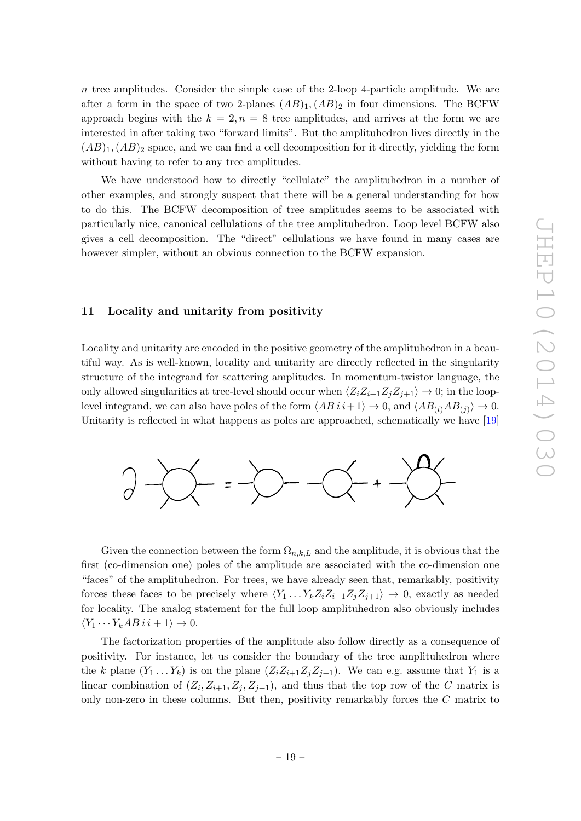n tree amplitudes. Consider the simple case of the 2-loop 4-particle amplitude. We are after a form in the space of two 2-planes  $(AB)_1$ ,  $(AB)_2$  in four dimensions. The BCFW approach begins with the  $k = 2, n = 8$  tree amplitudes, and arrives at the form we are interested in after taking two "forward limits". But the amplituhedron lives directly in the  $(AB)_1,(AB)_2$  space, and we can find a cell decomposition for it directly, yielding the form without having to refer to any tree amplitudes.

We have understood how to directly "cellulate" the amplituhedron in a number of other examples, and strongly suspect that there will be a general understanding for how to do this. The BCFW decomposition of tree amplitudes seems to be associated with particularly nice, canonical cellulations of the tree amplituhedron. Loop level BCFW also gives a cell decomposition. The "direct" cellulations we have found in many cases are however simpler, without an obvious connection to the BCFW expansion.

### <span id="page-19-0"></span>11 Locality and unitarity from positivity

Locality and unitarity are encoded in the positive geometry of the amplituhedron in a beautiful way. As is well-known, locality and unitarity are directly reflected in the singularity structure of the integrand for scattering amplitudes. In momentum-twistor language, the only allowed singularities at tree-level should occur when  $\langle Z_i Z_{i+1} Z_j Z_{j+1} \rangle \to 0$ ; in the looplevel integrand, we can also have poles of the form  $\langle AB\, i\, i+1\rangle \to 0$ , and  $\langle AB_{(i)}AB_{(j)}\rangle \to 0$ . Unitarity is reflected in what happens as poles are approached, schematically we have [\[19\]](#page-30-6)



Given the connection between the form  $\Omega_{n,k,L}$  and the amplitude, it is obvious that the first (co-dimension one) poles of the amplitude are associated with the co-dimension one "faces" of the amplituhedron. For trees, we have already seen that, remarkably, positivity forces these faces to be precisely where  $\langle Y_1 \dots Y_k Z_i Z_{i+1} Z_j Z_{j+1} \rangle \rightarrow 0$ , exactly as needed for locality. The analog statement for the full loop amplituhedron also obviously includes  $\langle Y_1 \cdots Y_k AB \, i \, i + 1 \rangle \rightarrow 0.$ 

The factorization properties of the amplitude also follow directly as a consequence of positivity. For instance, let us consider the boundary of the tree amplituhedron where the k plane  $(Y_1 \ldots Y_k)$  is on the plane  $(Z_i Z_{i+1} Z_j Z_{j+1})$ . We can e.g. assume that  $Y_1$  is a linear combination of  $(Z_i, Z_{i+1}, Z_j, Z_{j+1})$ , and thus that the top row of the C matrix is only non-zero in these columns. But then, positivity remarkably forces the C matrix to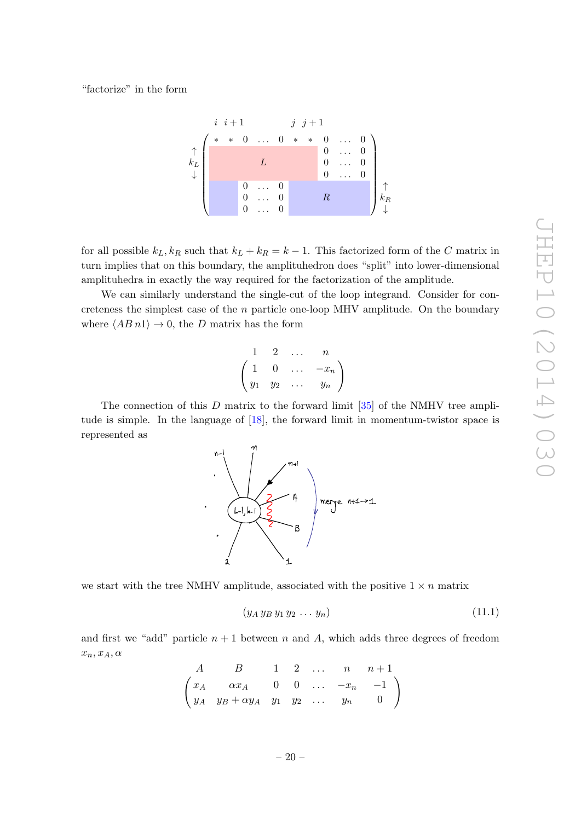"factorize" in the form



for all possible  $k_L$ ,  $k_R$  such that  $k_L + k_R = k - 1$ . This factorized form of the C matrix in turn implies that on this boundary, the amplituhedron does "split" into lower-dimensional amplituhedra in exactly the way required for the factorization of the amplitude.

We can similarly understand the single-cut of the loop integrand. Consider for concreteness the simplest case of the  $n$  particle one-loop MHV amplitude. On the boundary where  $\langle AB \, n1 \rangle \rightarrow 0$ , the D matrix has the form

$$
\begin{pmatrix}\n1 & 2 & \dots & n \\
1 & 0 & \dots & -x_n \\
y_1 & y_2 & \dots & y_n\n\end{pmatrix}
$$

The connection of this D matrix to the forward limit [\[35\]](#page-31-2) of the NMHV tree amplitude is simple. In the language of [\[18\]](#page-30-5), the forward limit in momentum-twistor space is represented as



we start with the tree NMHV amplitude, associated with the positive  $1 \times n$  matrix

$$
(y_A y_B y_1 y_2 \dots y_n) \tag{11.1}
$$

and first we "add" particle  $n + 1$  between n and A, which adds three degrees of freedom  $x_n, x_A, \alpha$ 

$$
\begin{pmatrix}\nA & B & 1 & 2 & \dots & n & n+1 \\
x_A & \alpha x_A & 0 & 0 & \dots & -x_n & -1 \\
y_A & y_B + \alpha y_A & y_1 & y_2 & \dots & y_n & 0\n\end{pmatrix}
$$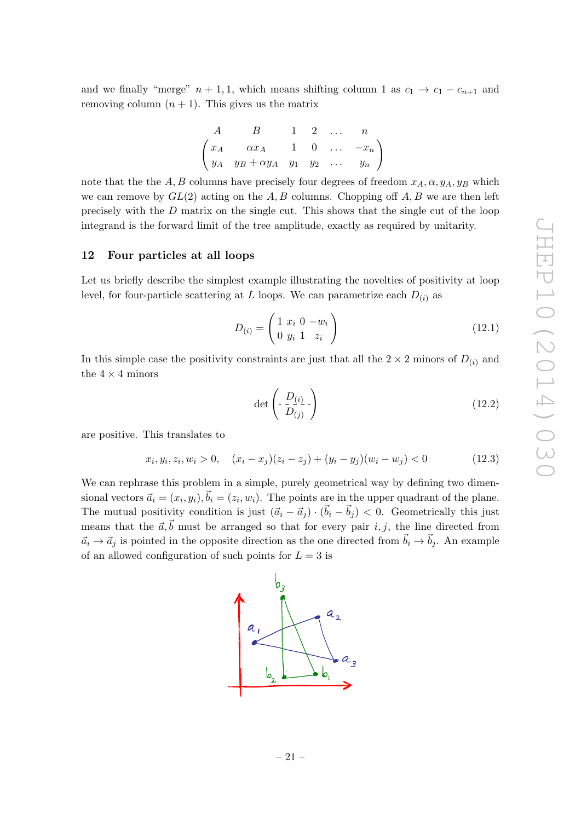and we finally "merge"  $n + 1, 1$ , which means shifting column 1 as  $c_1 \rightarrow c_1 - c_{n+1}$  and removing column  $(n + 1)$ . This gives us the matrix

$$
\begin{pmatrix}\nA & B & 1 & 2 & \dots & n \\
x_A & \alpha x_A & 1 & 0 & \dots & -x_n \\
y_A & y_B + \alpha y_A & y_1 & y_2 & \dots & y_n\n\end{pmatrix}
$$

note that the the A, B columns have precisely four degrees of freedom  $x_A, \alpha, y_A, y_B$  which we can remove by  $GL(2)$  acting on the A, B columns. Chopping off A, B we are then left precisely with the D matrix on the single cut. This shows that the single cut of the loop integrand is the forward limit of the tree amplitude, exactly as required by unitarity.

### <span id="page-21-0"></span>12 Four particles at all loops

Let us briefly describe the simplest example illustrating the novelties of positivity at loop level, for four-particle scattering at L loops. We can parametrize each  $D_{(i)}$  as

$$
D_{(i)} = \begin{pmatrix} 1 & x_i & 0 & -w_i \\ 0 & y_i & 1 & z_i \end{pmatrix}
$$
 (12.1)

In this simple case the positivity constraints are just that all the  $2 \times 2$  minors of  $D_{(i)}$  and the  $4 \times 4$  minors

$$
\det\left(-\frac{D_{(i)}}{D_{(j)}}\right) \tag{12.2}
$$

are positive. This translates to

$$
x_i, y_i, z_i, w_i > 0, \quad (x_i - x_j)(z_i - z_j) + (y_i - y_j)(w_i - w_j) < 0 \tag{12.3}
$$

We can rephrase this problem in a simple, purely geometrical way by defining two dimensional vectors  $\vec{a}_i = (x_i, y_i), \vec{b}_i = (z_i, w_i)$ . The points are in the upper quadrant of the plane. The mutual positivity condition is just  $({\vec a}_i - {\vec a}_j) \cdot ({\vec b}_i - {\vec b}_j) < 0$ . Geometrically this just means that the  $\vec{a}, \vec{b}$  must be arranged so that for every pair i, j, the line directed from  $\vec{a}_i \rightarrow \vec{a}_j$  is pointed in the opposite direction as the one directed from  $\vec{b}_i \rightarrow \vec{b}_j$ . An example of an allowed configuration of such points for  $L = 3$  is

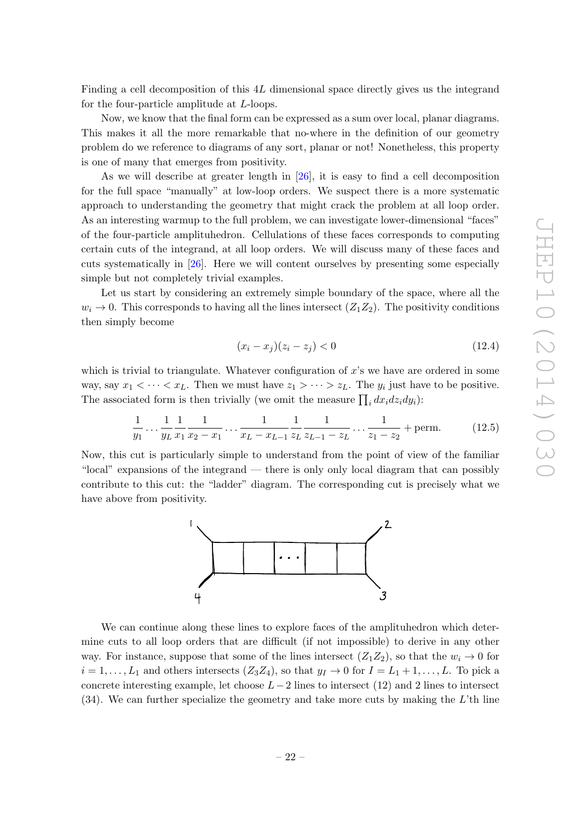Finding a cell decomposition of this 4L dimensional space directly gives us the integrand for the four-particle amplitude at L-loops.

Now, we know that the final form can be expressed as a sum over local, planar diagrams. This makes it all the more remarkable that no-where in the definition of our geometry problem do we reference to diagrams of any sort, planar or not! Nonetheless, this property is one of many that emerges from positivity.

As we will describe at greater length in [\[26\]](#page-30-14), it is easy to find a cell decomposition for the full space "manually" at low-loop orders. We suspect there is a more systematic approach to understanding the geometry that might crack the problem at all loop order. As an interesting warmup to the full problem, we can investigate lower-dimensional "faces" of the four-particle amplituhedron. Cellulations of these faces corresponds to computing certain cuts of the integrand, at all loop orders. We will discuss many of these faces and cuts systematically in [\[26\]](#page-30-14). Here we will content ourselves by presenting some especially simple but not completely trivial examples.

Let us start by considering an extremely simple boundary of the space, where all the  $w_i \to 0$ . This corresponds to having all the lines intersect  $(Z_1 Z_2)$ . The positivity conditions then simply become

$$
(x_i - x_j)(z_i - z_j) < 0 \tag{12.4}
$$

which is trivial to triangulate. Whatever configuration of  $x$ 's we have are ordered in some way, say  $x_1 < \cdots < x_L$ . Then we must have  $z_1 > \cdots > z_L$ . The  $y_i$  just have to be positive. The associated form is then trivially (we omit the measure  $\prod_i dx_i dz_i dy_i$ ):

$$
\frac{1}{y_1} \dots \frac{1}{y_L} \frac{1}{x_1} \frac{1}{x_2 - x_1} \dots \frac{1}{x_L - x_{L-1}} \frac{1}{z_L} \frac{1}{z_{L-1} - z_L} \dots \frac{1}{z_1 - z_2} + \text{perm.}
$$
 (12.5)

Now, this cut is particularly simple to understand from the point of view of the familiar "local" expansions of the integrand — there is only only local diagram that can possibly contribute to this cut: the "ladder" diagram. The corresponding cut is precisely what we have above from positivity.



We can continue along these lines to explore faces of the amplituhedron which determine cuts to all loop orders that are difficult (if not impossible) to derive in any other way. For instance, suppose that some of the lines intersect  $(Z_1Z_2)$ , so that the  $w_i \to 0$  for  $i = 1, \ldots, L_1$  and others intersects  $(Z_3 Z_4)$ , so that  $y_I \to 0$  for  $I = L_1 + 1, \ldots, L$ . To pick a concrete interesting example, let choose  $L-2$  lines to intersect (12) and 2 lines to intersect  $(34)$ . We can further specialize the geometry and take more cuts by making the L'th line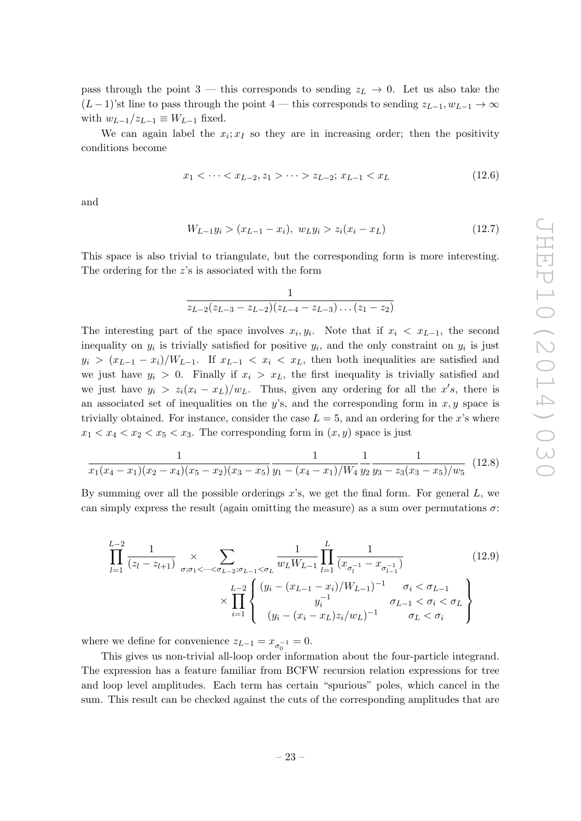pass through the point 3 — this corresponds to sending  $z_L \to 0$ . Let us also take the  $(L-1)$ 'st line to pass through the point 4 — this corresponds to sending  $z_{L-1}, w_{L-1} \to \infty$ with  $w_{L-1}/z_{L-1} \equiv W_{L-1}$  fixed.

We can again label the  $x_i; x_i$  so they are in increasing order; then the positivity conditions become

$$
x_1 < \dots < x_{L-2}, z_1 > \dots > z_{L-2}; \, x_{L-1} < x_L \tag{12.6}
$$

and

$$
W_{L-1}y_i > (x_{L-1} - x_i), \ w_L y_i > z_i (x_i - x_L) \tag{12.7}
$$

This space is also trivial to triangulate, but the corresponding form is more interesting. The ordering for the z's is associated with the form

$$
\frac{1}{z_{L-2}(z_{L-3}-z_{L-2})(z_{L-4}-z_{L-3})\dots(z_1-z_2)}
$$

The interesting part of the space involves  $x_i, y_i$ . Note that if  $x_i \leq x_{L-1}$ , the second inequality on  $y_i$  is trivially satisfied for positive  $y_i$ , and the only constraint on  $y_i$  is just  $y_i > (x_{L-1} - x_i)/W_{L-1}$ . If  $x_{L-1} < x_i < x_L$ , then both inequalities are satisfied and we just have  $y_i > 0$ . Finally if  $x_i > x_L$ , the first inequality is trivially satisfied and we just have  $y_i > z_i(x_i - x_L)/w_L$ . Thus, given any ordering for all the x's, there is an associated set of inequalities on the y's, and the corresponding form in  $x, y$  space is trivially obtained. For instance, consider the case  $L = 5$ , and an ordering for the x's where  $x_1 < x_4 < x_2 < x_5 < x_3$ . The corresponding form in  $(x, y)$  space is just

$$
\frac{1}{x_1(x_4-x_1)(x_2-x_4)(x_5-x_2)(x_3-x_5)}\frac{1}{y_1-(x_4-x_1)/W_4}\frac{1}{y_2}\frac{1}{y_3-z_3(x_3-x_5)/w_5}
$$
(12.8)

By summing over all the possible orderings  $x$ 's, we get the final form. For general  $L$ , we can simply express the result (again omitting the measure) as a sum over permutations  $\sigma$ :

$$
\prod_{l=1}^{L-2} \frac{1}{(z_l - z_{l+1})} \underset{\sigma; \sigma_1 < \dots < \sigma_{L-2}; \sigma_{L-1} < \sigma_L}{\times} \frac{1}{w_L W_{L-1}} \prod_{l=1}^{L} \frac{1}{(x_{\sigma_l^{-1}} - x_{\sigma_{l-1}^{-1}})} \tag{12.9}
$$
\n
$$
\times \prod_{i=1}^{L-2} \begin{cases} (y_i - (x_{L-1} - x_i)/W_{L-1})^{-1} & \sigma_i < \sigma_{L-1} \\ (y_i - (x_i - x_L)z_i/w_L)^{-1} & \sigma_L < \sigma_i \end{cases} \tag{12.9}
$$

where we define for convenience  $z_{L-1} = x_{\sigma_0^{-1}} = 0$ .

This gives us non-trivial all-loop order information about the four-particle integrand. The expression has a feature familiar from BCFW recursion relation expressions for tree and loop level amplitudes. Each term has certain "spurious" poles, which cancel in the sum. This result can be checked against the cuts of the corresponding amplitudes that are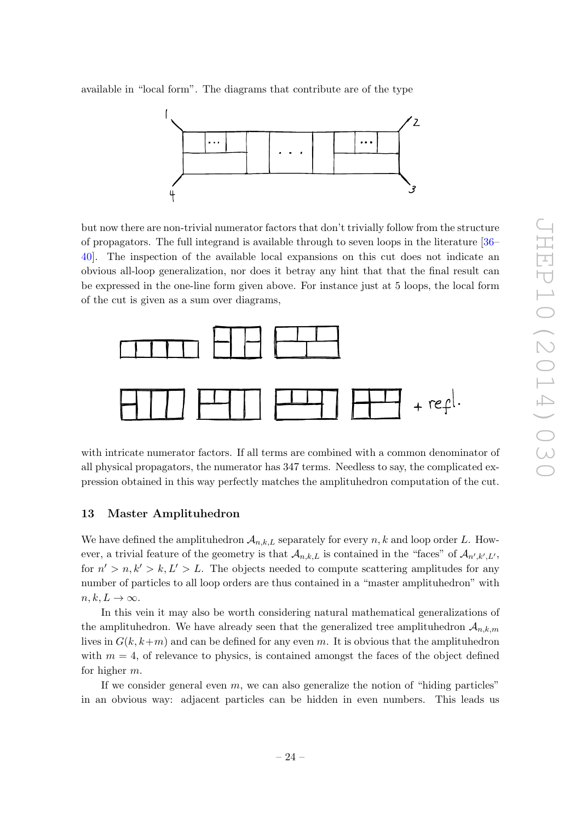available in "local form". The diagrams that contribute are of the type



but now there are non-trivial numerator factors that don't trivially follow from the structure of propagators. The full integrand is available through to seven loops in the literature [\[36–](#page-31-3) [40\]](#page-31-4). The inspection of the available local expansions on this cut does not indicate an obvious all-loop generalization, nor does it betray any hint that that the final result can be expressed in the one-line form given above. For instance just at 5 loops, the local form of the cut is given as a sum over diagrams,



with intricate numerator factors. If all terms are combined with a common denominator of all physical propagators, the numerator has 347 terms. Needless to say, the complicated expression obtained in this way perfectly matches the amplituhedron computation of the cut.

#### <span id="page-24-0"></span>13 Master Amplituhedron

We have defined the amplituhedron  $A_{n,k,L}$  separately for every  $n, k$  and loop order L. However, a trivial feature of the geometry is that  $\mathcal{A}_{n,k,L}$  is contained in the "faces" of  $\mathcal{A}_{n',k',L'}$ , for  $n' > n, k' > k, L' > L$ . The objects needed to compute scattering amplitudes for any number of particles to all loop orders are thus contained in a "master amplituhedron" with  $n, k, L \rightarrow \infty$ .

In this vein it may also be worth considering natural mathematical generalizations of the amplituhedron. We have already seen that the generalized tree amplituhedron  $A_{n,k,m}$ lives in  $G(k, k+m)$  and can be defined for any even m. It is obvious that the amplituhedron with  $m = 4$ , of relevance to physics, is contained amongst the faces of the object defined for higher m.

If we consider general even  $m$ , we can also generalize the notion of "hiding particles" in an obvious way: adjacent particles can be hidden in even numbers. This leads us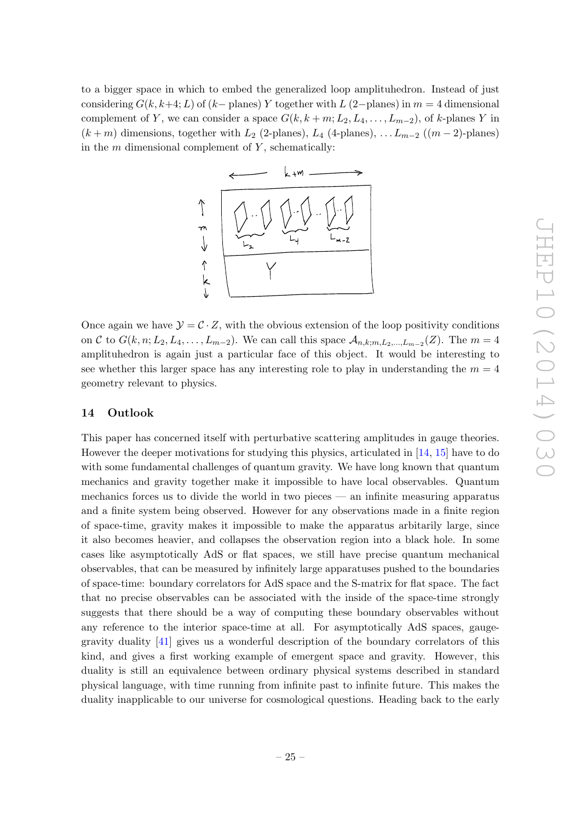to a bigger space in which to embed the generalized loop amplituhedron. Instead of just considering  $G(k, k+4; L)$  of  $(k-$  planes) Y together with L (2-planes) in  $m = 4$  dimensional complement of Y, we can consider a space  $G(k, k+m; L_2, L_4, \ldots, L_{m-2})$ , of k-planes Y in  $(k+m)$  dimensions, together with  $L_2$  (2-planes),  $L_4$  (4-planes), ...  $L_{m-2}$  ((m − 2)-planes) in the  $m$  dimensional complement of  $Y$ , schematically:



Once again we have  $\mathcal{Y} = \mathcal{C} \cdot \mathcal{Z}$ , with the obvious extension of the loop positivity conditions on C to  $G(k, n; L_2, L_4, \ldots, L_{m-2})$ . We can call this space  $\mathcal{A}_{n,k;m,L_2,\ldots,L_{m-2}}(Z)$ . The  $m=4$ amplituhedron is again just a particular face of this object. It would be interesting to see whether this larger space has any interesting role to play in understanding the  $m = 4$ geometry relevant to physics.

### <span id="page-25-0"></span>14 Outlook

This paper has concerned itself with perturbative scattering amplitudes in gauge theories. However the deeper motivations for studying this physics, articulated in [\[14,](#page-30-2) [15\]](#page-30-3) have to do with some fundamental challenges of quantum gravity. We have long known that quantum mechanics and gravity together make it impossible to have local observables. Quantum mechanics forces us to divide the world in two pieces — an infinite measuring apparatus and a finite system being observed. However for any observations made in a finite region of space-time, gravity makes it impossible to make the apparatus arbitarily large, since it also becomes heavier, and collapses the observation region into a black hole. In some cases like asymptotically AdS or flat spaces, we still have precise quantum mechanical observables, that can be measured by infinitely large apparatuses pushed to the boundaries of space-time: boundary correlators for AdS space and the S-matrix for flat space. The fact that no precise observables can be associated with the inside of the space-time strongly suggests that there should be a way of computing these boundary observables without any reference to the interior space-time at all. For asymptotically AdS spaces, gaugegravity duality [\[41\]](#page-31-5) gives us a wonderful description of the boundary correlators of this kind, and gives a first working example of emergent space and gravity. However, this duality is still an equivalence between ordinary physical systems described in standard physical language, with time running from infinite past to infinite future. This makes the duality inapplicable to our universe for cosmological questions. Heading back to the early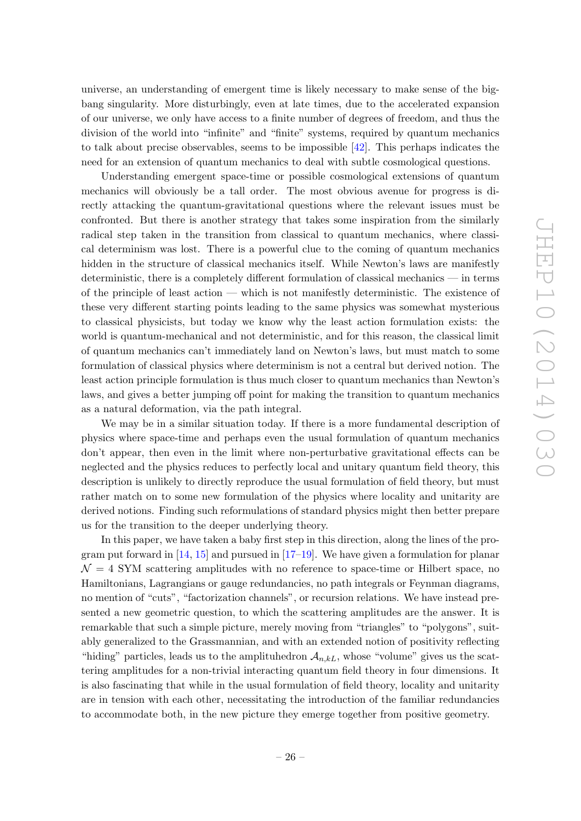universe, an understanding of emergent time is likely necessary to make sense of the bigbang singularity. More disturbingly, even at late times, due to the accelerated expansion of our universe, we only have access to a finite number of degrees of freedom, and thus the division of the world into "infinite" and "finite" systems, required by quantum mechanics to talk about precise observables, seems to be impossible [\[42\]](#page-31-6). This perhaps indicates the need for an extension of quantum mechanics to deal with subtle cosmological questions.

Understanding emergent space-time or possible cosmological extensions of quantum mechanics will obviously be a tall order. The most obvious avenue for progress is directly attacking the quantum-gravitational questions where the relevant issues must be confronted. But there is another strategy that takes some inspiration from the similarly radical step taken in the transition from classical to quantum mechanics, where classical determinism was lost. There is a powerful clue to the coming of quantum mechanics hidden in the structure of classical mechanics itself. While Newton's laws are manifestly deterministic, there is a completely different formulation of classical mechanics — in terms of the principle of least action — which is not manifestly deterministic. The existence of these very different starting points leading to the same physics was somewhat mysterious to classical physicists, but today we know why the least action formulation exists: the world is quantum-mechanical and not deterministic, and for this reason, the classical limit of quantum mechanics can't immediately land on Newton's laws, but must match to some formulation of classical physics where determinism is not a central but derived notion. The least action principle formulation is thus much closer to quantum mechanics than Newton's laws, and gives a better jumping off point for making the transition to quantum mechanics as a natural deformation, via the path integral.

We may be in a similar situation today. If there is a more fundamental description of physics where space-time and perhaps even the usual formulation of quantum mechanics don't appear, then even in the limit where non-perturbative gravitational effects can be neglected and the physics reduces to perfectly local and unitary quantum field theory, this description is unlikely to directly reproduce the usual formulation of field theory, but must rather match on to some new formulation of the physics where locality and unitarity are derived notions. Finding such reformulations of standard physics might then better prepare us for the transition to the deeper underlying theory.

In this paper, we have taken a baby first step in this direction, along the lines of the program put forward in  $[14, 15]$  $[14, 15]$  and pursued in  $[17–19]$  $[17–19]$ . We have given a formulation for planar  $\mathcal{N} = 4$  SYM scattering amplitudes with no reference to space-time or Hilbert space, no Hamiltonians, Lagrangians or gauge redundancies, no path integrals or Feynman diagrams, no mention of "cuts", "factorization channels", or recursion relations. We have instead presented a new geometric question, to which the scattering amplitudes are the answer. It is remarkable that such a simple picture, merely moving from "triangles" to "polygons", suitably generalized to the Grassmannian, and with an extended notion of positivity reflecting "hiding" particles, leads us to the amplituhedron  $A_{n,kL}$ , whose "volume" gives us the scattering amplitudes for a non-trivial interacting quantum field theory in four dimensions. It is also fascinating that while in the usual formulation of field theory, locality and unitarity are in tension with each other, necessitating the introduction of the familiar redundancies to accommodate both, in the new picture they emerge together from positive geometry.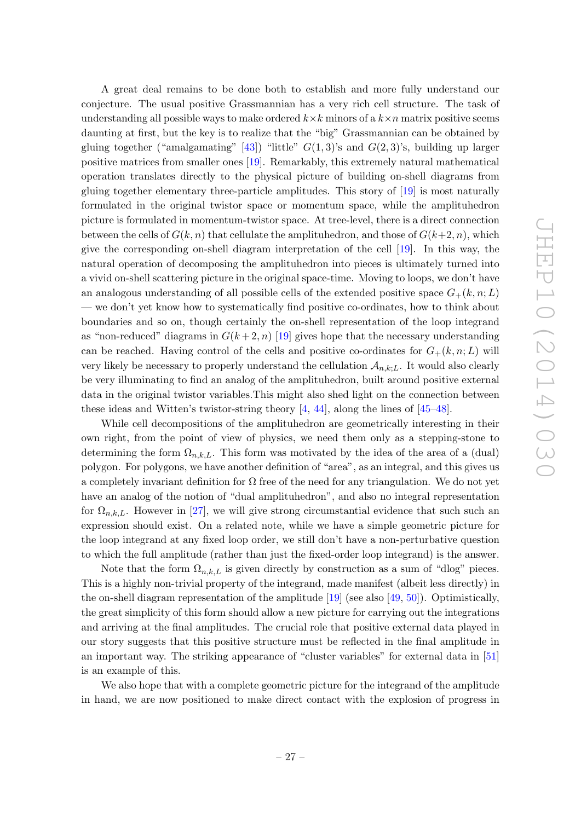A great deal remains to be done both to establish and more fully understand our conjecture. The usual positive Grassmannian has a very rich cell structure. The task of understanding all possible ways to make ordered  $k \times k$  minors of a  $k \times n$  matrix positive seems daunting at first, but the key is to realize that the "big" Grassmannian can be obtained by gluing together ("amalgamating" [\[43\]](#page-31-7)) "little"  $G(1,3)$ 's and  $G(2,3)$ 's, building up larger positive matrices from smaller ones [\[19\]](#page-30-6). Remarkably, this extremely natural mathematical operation translates directly to the physical picture of building on-shell diagrams from gluing together elementary three-particle amplitudes. This story of [\[19\]](#page-30-6) is most naturally formulated in the original twistor space or momentum space, while the amplituhedron picture is formulated in momentum-twistor space. At tree-level, there is a direct connection between the cells of  $G(k, n)$  that cellulate the amplituhedron, and those of  $G(k+2, n)$ , which give the corresponding on-shell diagram interpretation of the cell [\[19\]](#page-30-6). In this way, the natural operation of decomposing the amplituhedron into pieces is ultimately turned into a vivid on-shell scattering picture in the original space-time. Moving to loops, we don't have an analogous understanding of all possible cells of the extended positive space  $G_{+}(k, n; L)$ — we don't yet know how to systematically find positive co-ordinates, how to think about boundaries and so on, though certainly the on-shell representation of the loop integrand as "non-reduced" diagrams in  $G(k+2, n)$  [\[19\]](#page-30-6) gives hope that the necessary understanding can be reached. Having control of the cells and positive co-ordinates for  $G_+(k, n; L)$  will very likely be necessary to properly understand the cellulation  $A_{n,k;L}$ . It would also clearly be very illuminating to find an analog of the amplituhedron, built around positive external data in the original twistor variables.This might also shed light on the connection between these ideas and Witten's twistor-string theory  $[4, 44]$  $[4, 44]$ , along the lines of  $[45-48]$ .

While cell decompositions of the amplituhedron are geometrically interesting in their own right, from the point of view of physics, we need them only as a stepping-stone to determining the form  $\Omega_{n,k,L}$ . This form was motivated by the idea of the area of a (dual) polygon. For polygons, we have another definition of "area", as an integral, and this gives us a completely invariant definition for  $\Omega$  free of the need for any triangulation. We do not yet have an analog of the notion of "dual amplituhedron", and also no integral representation for  $\Omega_{n,k,L}$ . However in [\[27\]](#page-30-15), we will give strong circumstantial evidence that such such an expression should exist. On a related note, while we have a simple geometric picture for the loop integrand at any fixed loop order, we still don't have a non-perturbative question to which the full amplitude (rather than just the fixed-order loop integrand) is the answer.

Note that the form  $\Omega_{n,k,L}$  is given directly by construction as a sum of "dlog" pieces. This is a highly non-trivial property of the integrand, made manifest (albeit less directly) in the on-shell diagram representation of the amplitude [\[19\]](#page-30-6) (see also [\[49,](#page-31-11) [50\]](#page-31-12)). Optimistically, the great simplicity of this form should allow a new picture for carrying out the integrations and arriving at the final amplitudes. The crucial role that positive external data played in our story suggests that this positive structure must be reflected in the final amplitude in an important way. The striking appearance of "cluster variables" for external data in [\[51\]](#page-31-13) is an example of this.

We also hope that with a complete geometric picture for the integrand of the amplitude in hand, we are now positioned to make direct contact with the explosion of progress in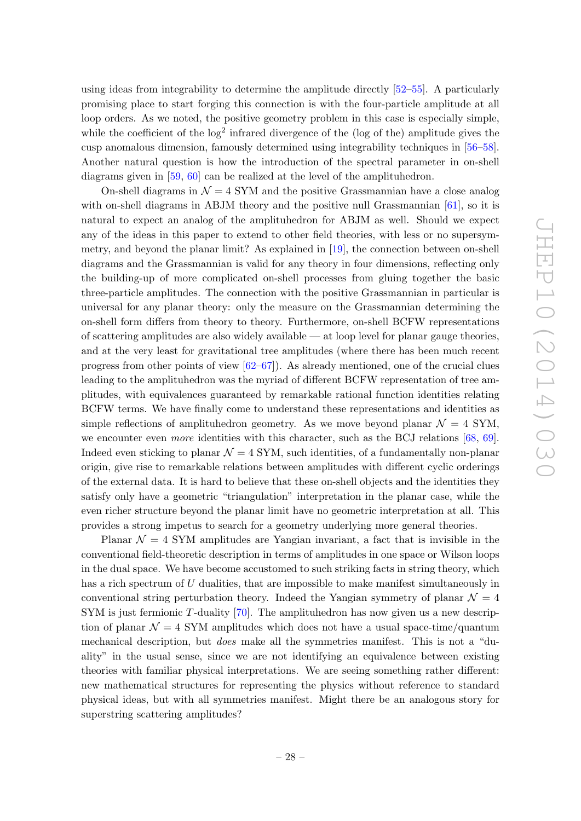using ideas from integrability to determine the amplitude directly [\[52–](#page-32-0)[55\]](#page-32-1). A particularly promising place to start forging this connection is with the four-particle amplitude at all loop orders. As we noted, the positive geometry problem in this case is especially simple, while the coefficient of the  $log<sup>2</sup>$  infrared divergence of the (log of the) amplitude gives the cusp anomalous dimension, famously determined using integrability techniques in [\[56–](#page-32-2)[58\]](#page-32-3). Another natural question is how the introduction of the spectral parameter in on-shell diagrams given in [\[59,](#page-32-4) [60\]](#page-32-5) can be realized at the level of the amplituhedron.

On-shell diagrams in  $\mathcal{N} = 4$  SYM and the positive Grassmannian have a close analog with on-shell diagrams in ABJM theory and the positive null Grassmannian [\[61\]](#page-32-6), so it is natural to expect an analog of the amplituhedron for ABJM as well. Should we expect any of the ideas in this paper to extend to other field theories, with less or no supersymmetry, and beyond the planar limit? As explained in [\[19\]](#page-30-6), the connection between on-shell diagrams and the Grassmannian is valid for any theory in four dimensions, reflecting only the building-up of more complicated on-shell processes from gluing together the basic three-particle amplitudes. The connection with the positive Grassmannian in particular is universal for any planar theory: only the measure on the Grassmannian determining the on-shell form differs from theory to theory. Furthermore, on-shell BCFW representations of scattering amplitudes are also widely available — at loop level for planar gauge theories, and at the very least for gravitational tree amplitudes (where there has been much recent progress from other points of view [\[62–](#page-32-7)[67\]](#page-32-8)). As already mentioned, one of the crucial clues leading to the amplituhedron was the myriad of different BCFW representation of tree amplitudes, with equivalences guaranteed by remarkable rational function identities relating BCFW terms. We have finally come to understand these representations and identities as simple reflections of amplituhedron geometry. As we move beyond planar  $\mathcal{N} = 4$  SYM, we encounter even *more* identities with this character, such as the BCJ relations  $[68, 69]$  $[68, 69]$ . Indeed even sticking to planar  $\mathcal{N} = 4$  SYM, such identities, of a fundamentally non-planar origin, give rise to remarkable relations between amplitudes with different cyclic orderings of the external data. It is hard to believe that these on-shell objects and the identities they satisfy only have a geometric "triangulation" interpretation in the planar case, while the even richer structure beyond the planar limit have no geometric interpretation at all. This provides a strong impetus to search for a geometry underlying more general theories.

Planar  $\mathcal{N} = 4$  SYM amplitudes are Yangian invariant, a fact that is invisible in the conventional field-theoretic description in terms of amplitudes in one space or Wilson loops in the dual space. We have become accustomed to such striking facts in string theory, which has a rich spectrum of U dualities, that are impossible to make manifest simultaneously in conventional string perturbation theory. Indeed the Yangian symmetry of planar  $\mathcal{N} = 4$ SYM is just fermionic T-duality  $[70]$ . The amplituhedron has now given us a new description of planar  $\mathcal{N} = 4$  SYM amplitudes which does not have a usual space-time/quantum mechanical description, but does make all the symmetries manifest. This is not a "duality" in the usual sense, since we are not identifying an equivalence between existing theories with familiar physical interpretations. We are seeing something rather different: new mathematical structures for representing the physics without reference to standard physical ideas, but with all symmetries manifest. Might there be an analogous story for superstring scattering amplitudes?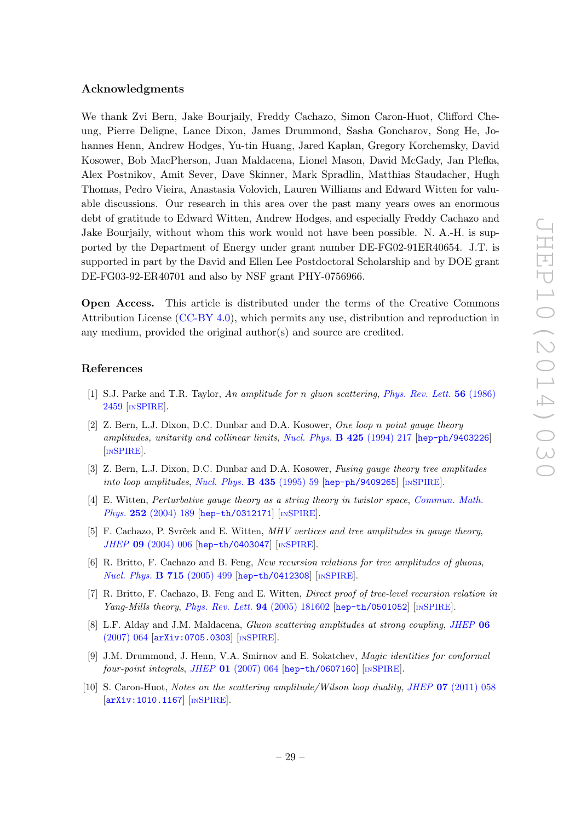### Acknowledgments

We thank Zvi Bern, Jake Bourjaily, Freddy Cachazo, Simon Caron-Huot, Clifford Cheung, Pierre Deligne, Lance Dixon, James Drummond, Sasha Goncharov, Song He, Johannes Henn, Andrew Hodges, Yu-tin Huang, Jared Kaplan, Gregory Korchemsky, David Kosower, Bob MacPherson, Juan Maldacena, Lionel Mason, David McGady, Jan Plefka, Alex Postnikov, Amit Sever, Dave Skinner, Mark Spradlin, Matthias Staudacher, Hugh Thomas, Pedro Vieira, Anastasia Volovich, Lauren Williams and Edward Witten for valuable discussions. Our research in this area over the past many years owes an enormous debt of gratitude to Edward Witten, Andrew Hodges, and especially Freddy Cachazo and Jake Bourjaily, without whom this work would not have been possible. N. A.-H. is supported by the Department of Energy under grant number DE-FG02-91ER40654. J.T. is supported in part by the David and Ellen Lee Postdoctoral Scholarship and by DOE grant DE-FG03-92-ER40701 and also by NSF grant PHY-0756966.

Open Access. This article is distributed under the terms of the Creative Commons Attribution License [\(CC-BY 4.0\)](http://creativecommons.org/licenses/by/4.0/), which permits any use, distribution and reproduction in any medium, provided the original author(s) and source are credited.

### References

- <span id="page-29-0"></span>[1] S.J. Parke and T.R. Taylor, An amplitude for n gluon scattering, [Phys. Rev. Lett.](http://dx.doi.org/10.1103/PhysRevLett.56.2459) 56 (1986) [2459](http://dx.doi.org/10.1103/PhysRevLett.56.2459) [IN[SPIRE](http://inspirehep.net/search?p=find+J+Phys.Rev.Lett.,56,2459)].
- [2] Z. Bern, L.J. Dixon, D.C. Dunbar and D.A. Kosower, One loop n point gauge theory amplitudes, unitarity and collinear limits, [Nucl. Phys.](http://dx.doi.org/10.1016/0550-3213(94)90179-1) B 425 (1994) 217 [[hep-ph/9403226](http://arxiv.org/abs/hep-ph/9403226)] [IN[SPIRE](http://inspirehep.net/search?p=find+EPRINT+hep-ph/9403226)].
- [3] Z. Bern, L.J. Dixon, D.C. Dunbar and D.A. Kosower, Fusing gauge theory tree amplitudes into loop amplitudes, [Nucl. Phys.](http://dx.doi.org/10.1016/0550-3213(94)00488-Z)  $\bf{B}$  435 (1995) 59 [[hep-ph/9409265](http://arxiv.org/abs/hep-ph/9409265)] [IN[SPIRE](http://inspirehep.net/search?p=find+EPRINT+hep-ph/9409265)].
- <span id="page-29-6"></span>[4] E. Witten, Perturbative gauge theory as a string theory in twistor space, [Commun. Math.](http://dx.doi.org/10.1007/s00220-004-1187-3) Phys. 252 [\(2004\) 189](http://dx.doi.org/10.1007/s00220-004-1187-3) [[hep-th/0312171](http://arxiv.org/abs/hep-th/0312171)] [IN[SPIRE](http://inspirehep.net/search?p=find+EPRINT+hep-th/0312171)].
- [5] F. Cachazo, P. Svrček and E. Witten, MHV vertices and tree amplitudes in gauge theory, JHEP 09 [\(2004\) 006](http://dx.doi.org/10.1088/1126-6708/2004/09/006) [[hep-th/0403047](http://arxiv.org/abs/hep-th/0403047)] [IN[SPIRE](http://inspirehep.net/search?p=find+EPRINT+hep-th/0403047)].
- <span id="page-29-5"></span>[6] R. Britto, F. Cachazo and B. Feng, New recursion relations for tree amplitudes of gluons, [Nucl. Phys.](http://dx.doi.org/10.1016/j.nuclphysb.2005.02.030) **B 715** (2005) 499 [[hep-th/0412308](http://arxiv.org/abs/hep-th/0412308)] [IN[SPIRE](http://inspirehep.net/search?p=find+EPRINT+hep-th/0412308)].
- <span id="page-29-1"></span>[7] R. Britto, F. Cachazo, B. Feng and E. Witten, *Direct proof of tree-level recursion relation in* Yang-Mills theory, [Phys. Rev. Lett.](http://dx.doi.org/10.1103/PhysRevLett.94.181602)  $94$  (2005) 181602 [[hep-th/0501052](http://arxiv.org/abs/hep-th/0501052)] [IN[SPIRE](http://inspirehep.net/search?p=find+EPRINT+hep-th/0501052)].
- <span id="page-29-2"></span>[8] L.F. Alday and J.M. Maldacena, *Gluon scattering amplitudes at strong coupling, [JHEP](http://dx.doi.org/10.1088/1126-6708/2007/06/064)* 06 [\(2007\) 064](http://dx.doi.org/10.1088/1126-6708/2007/06/064) [[arXiv:0705.0303](http://arxiv.org/abs/0705.0303)] [IN[SPIRE](http://inspirehep.net/search?p=find+EPRINT+arXiv:0705.0303)].
- <span id="page-29-3"></span>[9] J.M. Drummond, J. Henn, V.A. Smirnov and E. Sokatchev, Magic identities for conformal four-point integrals, JHEP  $01$  [\(2007\) 064](http://dx.doi.org/10.1088/1126-6708/2007/01/064) [[hep-th/0607160](http://arxiv.org/abs/hep-th/0607160)] [IN[SPIRE](http://inspirehep.net/search?p=find+EPRINT+hep-th/0607160)].
- <span id="page-29-4"></span>[10] S. Caron-Huot, Notes on the scattering amplitude/Wilson loop duality, JHEP 07 [\(2011\) 058](http://dx.doi.org/10.1007/JHEP07(2011)058) [[arXiv:1010.1167](http://arxiv.org/abs/1010.1167)] [IN[SPIRE](http://inspirehep.net/search?p=find+EPRINT+arXiv:1010.1167)].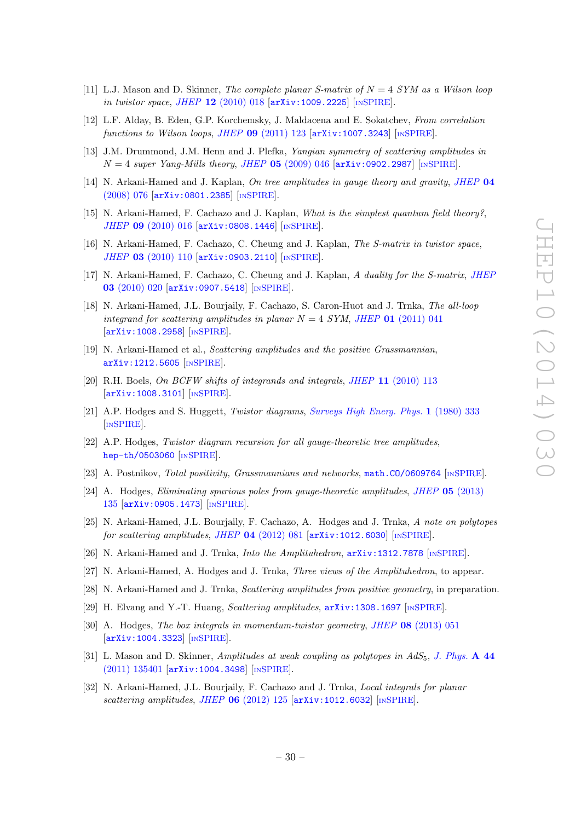- [11] L.J. Mason and D. Skinner, The complete planar S-matrix of  $N = 4$  SYM as a Wilson loop in twistor space, JHEP 12 [\(2010\) 018](http://dx.doi.org/10.1007/JHEP12(2010)018) [[arXiv:1009.2225](http://arxiv.org/abs/1009.2225)] [IN[SPIRE](http://inspirehep.net/search?p=find+EPRINT+arXiv:1009.2225)].
- <span id="page-30-0"></span>[12] L.F. Alday, B. Eden, G.P. Korchemsky, J. Maldacena and E. Sokatchev, From correlation functions to Wilson loops, JHEP  $09$  [\(2011\) 123](http://dx.doi.org/10.1007/JHEP09(2011)123)  $\text{arXiv:1007.3243}$  $\text{arXiv:1007.3243}$  $\text{arXiv:1007.3243}$  [IN[SPIRE](http://inspirehep.net/search?p=find+EPRINT+arXiv:1007.3243)].
- <span id="page-30-1"></span>[13] J.M. Drummond, J.M. Henn and J. Plefka, Yangian symmetry of scattering amplitudes in  $N = 4$  super Yang-Mills theory, JHEP 05 [\(2009\) 046](http://dx.doi.org/10.1088/1126-6708/2009/05/046) [[arXiv:0902.2987](http://arxiv.org/abs/0902.2987)] [IN[SPIRE](http://inspirehep.net/search?p=find+EPRINT+arXiv:0902.2987)].
- <span id="page-30-2"></span>[14] N. Arkani-Hamed and J. Kaplan, On tree amplitudes in gauge theory and gravity, [JHEP](http://dx.doi.org/10.1088/1126-6708/2008/04/076) 04 [\(2008\) 076](http://dx.doi.org/10.1088/1126-6708/2008/04/076) [[arXiv:0801.2385](http://arxiv.org/abs/0801.2385)] [IN[SPIRE](http://inspirehep.net/search?p=find+EPRINT+arXiv:0801.2385)].
- <span id="page-30-3"></span>[15] N. Arkani-Hamed, F. Cachazo and J. Kaplan, What is the simplest quantum field theory?, JHEP 09 [\(2010\) 016](http://dx.doi.org/10.1007/JHEP09(2010)016) [[arXiv:0808.1446](http://arxiv.org/abs/0808.1446)] [IN[SPIRE](http://inspirehep.net/search?p=find+EPRINT+arXiv:0808.1446)].
- <span id="page-30-4"></span>[16] N. Arkani-Hamed, F. Cachazo, C. Cheung and J. Kaplan, The S-matrix in twistor space, JHEP 03 [\(2010\) 110](http://dx.doi.org/10.1007/JHEP03(2010)110) [[arXiv:0903.2110](http://arxiv.org/abs/0903.2110)] [IN[SPIRE](http://inspirehep.net/search?p=find+EPRINT+arXiv:0903.2110)].
- <span id="page-30-11"></span>[17] N. Arkani-Hamed, F. Cachazo, C. Cheung and J. Kaplan, A duality for the S-matrix, [JHEP](http://dx.doi.org/10.1007/JHEP03(2010)020) 03 [\(2010\) 020](http://dx.doi.org/10.1007/JHEP03(2010)020) [[arXiv:0907.5418](http://arxiv.org/abs/0907.5418)] [IN[SPIRE](http://inspirehep.net/search?p=find+EPRINT+arXiv:0907.5418)].
- <span id="page-30-5"></span>[18] N. Arkani-Hamed, J.L. Bourjaily, F. Cachazo, S. Caron-Huot and J. Trnka, The all-loop integrand for scattering amplitudes in planar  $N = 4$  SYM, JHEP 01 [\(2011\) 041](http://dx.doi.org/10.1007/JHEP01(2011)041) [[arXiv:1008.2958](http://arxiv.org/abs/1008.2958)] [IN[SPIRE](http://inspirehep.net/search?p=find+EPRINT+arXiv:1008.2958)].
- <span id="page-30-6"></span>[19] N. Arkani-Hamed et al., Scattering amplitudes and the positive Grassmannian, [arXiv:1212.5605](http://arxiv.org/abs/1212.5605) [IN[SPIRE](http://inspirehep.net/search?p=find+EPRINT+arXiv:1212.5605)].
- <span id="page-30-7"></span>[20] R.H. Boels, On BCFW shifts of integrands and integrals, JHEP 11 [\(2010\) 113](http://dx.doi.org/10.1007/JHEP11(2010)113) [[arXiv:1008.3101](http://arxiv.org/abs/1008.3101)] [IN[SPIRE](http://inspirehep.net/search?p=find+EPRINT+arXiv:1008.3101)].
- <span id="page-30-8"></span>[21] A.P. Hodges and S. Huggett, Twistor diagrams, [Surveys High Energ. Phys.](http://dx.doi.org/10.1080/01422418008225260) 1 (1980) 333 [IN[SPIRE](http://inspirehep.net/search?p=find+J+SHEPD,1,333)].
- <span id="page-30-9"></span>[22] A.P. Hodges, Twistor diagram recursion for all gauge-theoretic tree amplitudes, [hep-th/0503060](http://arxiv.org/abs/hep-th/0503060) [IN[SPIRE](http://inspirehep.net/search?p=find+EPRINT+hep-th/0503060)].
- <span id="page-30-10"></span>[23] A. Postnikov, Total positivity, Grassmannians and networks, [math.CO/0609764](http://arxiv.org/abs/math.CO/0609764) [IN[SPIRE](http://inspirehep.net/search?p=find+EPRINT+math/0609764)].
- <span id="page-30-12"></span>[24] A. Hodges, Eliminating spurious poles from gauge-theoretic amplitudes, JHEP 05 [\(2013\)](http://dx.doi.org/10.1007/JHEP05(2013)135) [135](http://dx.doi.org/10.1007/JHEP05(2013)135) [[arXiv:0905.1473](http://arxiv.org/abs/0905.1473)] [IN[SPIRE](http://inspirehep.net/search?p=find+EPRINT+arXiv:0905.1473)].
- <span id="page-30-13"></span>[25] N. Arkani-Hamed, J.L. Bourjaily, F. Cachazo, A. Hodges and J. Trnka, A note on polytopes for scattering amplitudes, JHEP 04 [\(2012\) 081](http://dx.doi.org/10.1007/JHEP04(2012)081)  $arXiv:1012.6030$  [IN[SPIRE](http://inspirehep.net/search?p=find+EPRINT+arXiv:1012.6030)].
- <span id="page-30-14"></span>[26] N. Arkani-Hamed and J. Trnka, Into the Amplituhedron, [arXiv:1312.7878](http://arxiv.org/abs/1312.7878) [IN[SPIRE](http://inspirehep.net/search?p=find+EPRINT+arXiv:1312.7878)].
- <span id="page-30-15"></span>[27] N. Arkani-Hamed, A. Hodges and J. Trnka, Three views of the Amplituhedron, to appear.
- <span id="page-30-16"></span>[28] N. Arkani-Hamed and J. Trnka, Scattering amplitudes from positive geometry, in preparation.
- <span id="page-30-17"></span>[29] H. Elvang and Y.-T. Huang, Scattering amplitudes, [arXiv:1308.1697](http://arxiv.org/abs/1308.1697) [IN[SPIRE](http://inspirehep.net/search?p=find+EPRINT+arXiv:1308.1697)].
- <span id="page-30-18"></span>[30] A. Hodges, The box integrals in momentum-twistor geometry, JHEP 08 [\(2013\) 051](http://dx.doi.org/10.1007/JHEP08(2013)051) [[arXiv:1004.3323](http://arxiv.org/abs/1004.3323)] [IN[SPIRE](http://inspirehep.net/search?p=find+EPRINT+arXiv:1004.3323)].
- [31] L. Mason and D. Skinner, Amplitudes at weak coupling as polytopes in  $AdS_5$ , [J. Phys.](http://dx.doi.org/10.1088/1751-8113/44/13/135401) A 44 [\(2011\) 135401](http://dx.doi.org/10.1088/1751-8113/44/13/135401) [[arXiv:1004.3498](http://arxiv.org/abs/1004.3498)] [IN[SPIRE](http://inspirehep.net/search?p=find+EPRINT+arXiv:1004.3498)].
- <span id="page-30-19"></span>[32] N. Arkani-Hamed, J.L. Bourjaily, F. Cachazo and J. Trnka, *Local integrals for planar* scattering amplitudes, JHEP  $06$  [\(2012\) 125](http://dx.doi.org/10.1007/JHEP06(2012)125)  $\text{arXiv:1012.6032}$  $\text{arXiv:1012.6032}$  $\text{arXiv:1012.6032}$  [IN[SPIRE](http://inspirehep.net/search?p=find+EPRINT+arXiv:1012.6032)].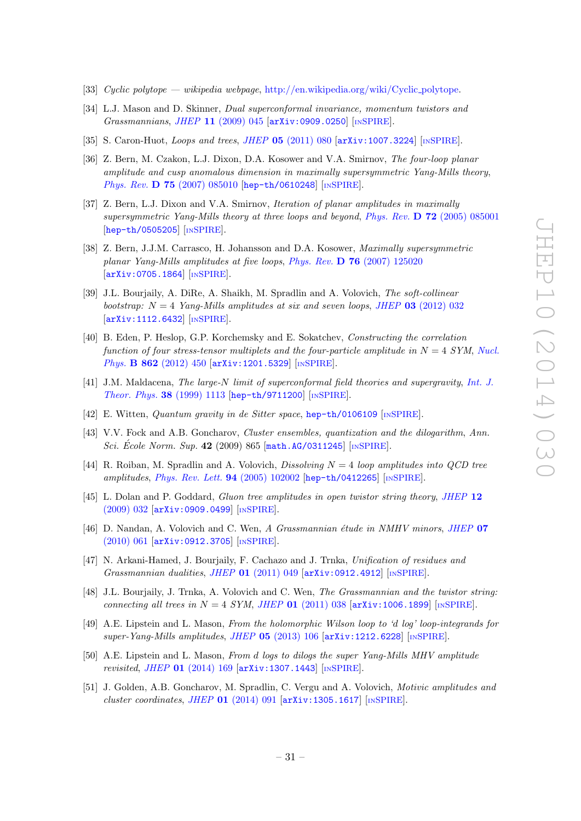- <span id="page-31-0"></span>[33] Cyclic polytope — wikipedia webpage, [http://en.wikipedia.org/wiki/Cyclic](http://en.wikipedia.org/wiki/Cyclic_polytope) polytope.
- <span id="page-31-1"></span>[34] L.J. Mason and D. Skinner, Dual superconformal invariance, momentum twistors and Grassmannians, JHEP 11 [\(2009\) 045](http://dx.doi.org/10.1088/1126-6708/2009/11/045) [[arXiv:0909.0250](http://arxiv.org/abs/0909.0250)] [IN[SPIRE](http://inspirehep.net/search?p=find+EPRINT+arXiv:0909.0250)].
- <span id="page-31-2"></span>[35] S. Caron-Huot, *Loops and trees, JHEP* **05** [\(2011\) 080](http://dx.doi.org/10.1007/JHEP05(2011)080) [[arXiv:1007.3224](http://arxiv.org/abs/1007.3224)] [IN[SPIRE](http://inspirehep.net/search?p=find+EPRINT+arXiv:1007.3224)].
- <span id="page-31-3"></span>[36] Z. Bern, M. Czakon, L.J. Dixon, D.A. Kosower and V.A. Smirnov, The four-loop planar amplitude and cusp anomalous dimension in maximally supersymmetric Yang-Mills theory, Phys. Rev. D 75 [\(2007\) 085010](http://dx.doi.org/10.1103/PhysRevD.75.085010) [[hep-th/0610248](http://arxiv.org/abs/hep-th/0610248)] [IN[SPIRE](http://inspirehep.net/search?p=find+EPRINT+hep-th/0610248)].
- [37] Z. Bern, L.J. Dixon and V.A. Smirnov, Iteration of planar amplitudes in maximally supersymmetric Yang-Mills theory at three loops and beyond, Phys. Rev. **D** 72 [\(2005\) 085001](http://dx.doi.org/10.1103/PhysRevD.72.085001) [[hep-th/0505205](http://arxiv.org/abs/hep-th/0505205)] [IN[SPIRE](http://inspirehep.net/search?p=find+EPRINT+hep-th/0505205)].
- [38] Z. Bern, J.J.M. Carrasco, H. Johansson and D.A. Kosower, Maximally supersymmetric planar Yang-Mills amplitudes at five loops, Phys. Rev. D 76 [\(2007\) 125020](http://dx.doi.org/10.1103/PhysRevD.76.125020) [[arXiv:0705.1864](http://arxiv.org/abs/0705.1864)] [IN[SPIRE](http://inspirehep.net/search?p=find+EPRINT+arXiv:0705.1864)].
- [39] J.L. Bourjaily, A. DiRe, A. Shaikh, M. Spradlin and A. Volovich, The soft-collinear bootstrap:  $N = 4$  Yang-Mills amplitudes at six and seven loops, JHEP 03 [\(2012\) 032](http://dx.doi.org/10.1007/JHEP03(2012)032) [[arXiv:1112.6432](http://arxiv.org/abs/1112.6432)] [IN[SPIRE](http://inspirehep.net/search?p=find+EPRINT+arXiv:1112.6432)].
- <span id="page-31-4"></span>[40] B. Eden, P. Heslop, G.P. Korchemsky and E. Sokatchev, Constructing the correlation function of four stress-tensor multiplets and the four-particle amplitude in  $N = 4$  SYM, [Nucl.](http://dx.doi.org/10.1016/j.nuclphysb.2012.04.013) Phys. B 862 [\(2012\) 450](http://dx.doi.org/10.1016/j.nuclphysb.2012.04.013) [[arXiv:1201.5329](http://arxiv.org/abs/1201.5329)] [IN[SPIRE](http://inspirehep.net/search?p=find+EPRINT+arXiv:1201.5329)].
- <span id="page-31-5"></span>[41] J.M. Maldacena, The large-N limit of superconformal field theories and supergravity, [Int. J.](http://dx.doi.org/10.1023/A:1026654312961) [Theor. Phys.](http://dx.doi.org/10.1023/A:1026654312961) 38 (1999) 1113 [[hep-th/9711200](http://arxiv.org/abs/hep-th/9711200)] [IN[SPIRE](http://inspirehep.net/search?p=find+EPRINT+hep-th/9711200)].
- <span id="page-31-6"></span>[42] E. Witten, Quantum gravity in de Sitter space, [hep-th/0106109](http://arxiv.org/abs/hep-th/0106109) [IN[SPIRE](http://inspirehep.net/search?p=find+EPRINT+hep-th/0106109)].
- <span id="page-31-7"></span>[43] V.V. Fock and A.B. Goncharov, Cluster ensembles, quantization and the dilogarithm, Ann. Sci. École Norm. Sup.  $42$  (2009) 865  $\sqrt{math.AG/0311245}$  $\sqrt{math.AG/0311245}$  $\sqrt{math.AG/0311245}$  [IN[SPIRE](http://inspirehep.net/search?p=find+EPRINT+math/0311245)].
- <span id="page-31-8"></span>[44] R. Roiban, M. Spradlin and A. Volovich, *Dissolving*  $N = 4$  *loop amplitudes into QCD tree* amplitudes, [Phys. Rev. Lett.](http://dx.doi.org/10.1103/PhysRevLett.94.102002) **94** (2005) 102002 [[hep-th/0412265](http://arxiv.org/abs/hep-th/0412265)] [IN[SPIRE](http://inspirehep.net/search?p=find+EPRINT+hep-th/0412265)].
- <span id="page-31-9"></span>[45] L. Dolan and P. Goddard, Gluon tree amplitudes in open twistor string theory, [JHEP](http://dx.doi.org/10.1088/1126-6708/2009/12/032) 12 [\(2009\) 032](http://dx.doi.org/10.1088/1126-6708/2009/12/032) [[arXiv:0909.0499](http://arxiv.org/abs/0909.0499)] [IN[SPIRE](http://inspirehep.net/search?p=find+EPRINT+arXiv:0909.0499)].
- [46] D. Nandan, A. Volovich and C. Wen, A Grassmannian étude in NMHV minors, [JHEP](http://dx.doi.org/10.1007/JHEP07(2010)061)  $07$ [\(2010\) 061](http://dx.doi.org/10.1007/JHEP07(2010)061) [[arXiv:0912.3705](http://arxiv.org/abs/0912.3705)] [IN[SPIRE](http://inspirehep.net/search?p=find+EPRINT+arXiv:0912.3705)].
- [47] N. Arkani-Hamed, J. Bourjaily, F. Cachazo and J. Trnka, Unification of residues and Grassmannian dualities, JHEP 01 [\(2011\) 049](http://dx.doi.org/10.1007/JHEP01(2011)049) [[arXiv:0912.4912](http://arxiv.org/abs/0912.4912)] [IN[SPIRE](http://inspirehep.net/search?p=find+EPRINT+arXiv:0912.4912)].
- <span id="page-31-10"></span>[48] J.L. Bourjaily, J. Trnka, A. Volovich and C. Wen, The Grassmannian and the twistor string: connecting all trees in  $N = 4$  SYM, JHEP 01 [\(2011\) 038](http://dx.doi.org/10.1007/JHEP01(2011)038) [[arXiv:1006.1899](http://arxiv.org/abs/1006.1899)] [IN[SPIRE](http://inspirehep.net/search?p=find+EPRINT+arXiv:1006.1899)].
- <span id="page-31-11"></span>[49] A.E. Lipstein and L. Mason, From the holomorphic Wilson loop to 'd log' loop-integrands for super-Yang-Mills amplitudes, JHEP  $05$  [\(2013\) 106](http://dx.doi.org/10.1007/JHEP05(2013)106)  $\left[$ [arXiv:1212.6228](http://arxiv.org/abs/1212.6228) $\right]$   $\left[$ IN[SPIRE](http://inspirehep.net/search?p=find+EPRINT+arXiv:1212.6228) $\right]$ .
- <span id="page-31-12"></span>[50] A.E. Lipstein and L. Mason, From d logs to dilogs the super Yang-Mills MHV amplitude revisited, JHEP 01 [\(2014\) 169](http://dx.doi.org/10.1007/JHEP01(2014)169) [[arXiv:1307.1443](http://arxiv.org/abs/1307.1443)] [IN[SPIRE](http://inspirehep.net/search?p=find+EPRINT+arXiv:1307.1443)].
- <span id="page-31-13"></span>[51] J. Golden, A.B. Goncharov, M. Spradlin, C. Vergu and A. Volovich, Motivic amplitudes and cluster coordinates, JHEP 01 [\(2014\) 091](http://dx.doi.org/10.1007/JHEP01(2014)091)  $\left[$ [arXiv:1305.1617](http://arxiv.org/abs/1305.1617) $\right]$  [IN[SPIRE](http://inspirehep.net/search?p=find+EPRINT+arXiv:1305.1617)].